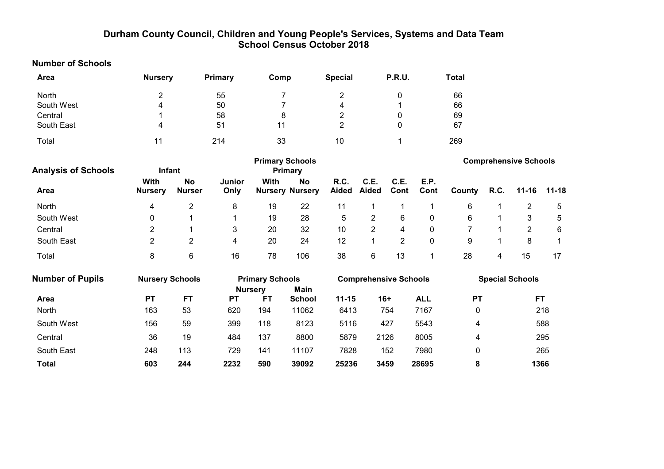# Durham County Council, Children and Young People's Services, Systems and Data Team School Census October 2018

| <b>Number of Schools</b>   |                         |                            |                       |                        |                                     |                         |                              |                |              |              |      |                              |           |
|----------------------------|-------------------------|----------------------------|-----------------------|------------------------|-------------------------------------|-------------------------|------------------------------|----------------|--------------|--------------|------|------------------------------|-----------|
| <b>Area</b>                | <b>Nursery</b>          |                            | Primary               | Comp                   |                                     | <b>Special</b>          |                              | P.R.U.         |              | <b>Total</b> |      |                              |           |
| North                      | $\overline{\mathbf{c}}$ |                            | 55                    | 7                      |                                     | 2                       |                              | 0              |              | 66           |      |                              |           |
| South West                 | 4                       |                            | 50                    | $\overline{7}$         |                                     | 4                       |                              |                |              | 66           |      |                              |           |
| Central                    | 1                       |                            | 58                    | 8                      |                                     | $\overline{\mathbf{c}}$ |                              | 0              |              | 69           |      |                              |           |
| South East                 | 4                       |                            | 51                    | 11                     |                                     | $\overline{2}$          |                              | 0              |              | 67           |      |                              |           |
| Total                      | 11                      |                            | 214                   | 33                     |                                     | 10                      |                              | $\mathbf{1}$   |              | 269          |      |                              |           |
| <b>Analysis of Schools</b> | Infant                  |                            |                       | <b>Primary Schools</b> | <b>Primary</b>                      |                         |                              |                |              |              |      | <b>Comprehensive Schools</b> |           |
| <b>Area</b>                | With<br><b>Nursery</b>  | <b>No</b><br><b>Nurser</b> | <b>Junior</b><br>Only | <b>With</b>            | <b>No</b><br><b>Nursery Nursery</b> | R.C.<br>Aided           | C.E.<br>Aided                | C.E.<br>Cont   | E.P.<br>Cont | County       | R.C. | $11 - 16$                    | $11 - 18$ |
| North                      | 4                       | $\overline{c}$             | 8                     | 19                     | 22                                  | 11                      | 1                            | 1              | 1            | 6            | 1    | $\overline{c}$               | 5         |
| South West                 | 0                       |                            | 1                     | 19                     | 28                                  | 5                       | $\overline{2}$               | $\,6$          | $\pmb{0}$    | 6            |      | 3                            | 5         |
| Central                    | $\overline{c}$          |                            | 3                     | 20                     | 32                                  | 10                      | $\overline{2}$               | 4              | $\pmb{0}$    | 7            |      | $\overline{2}$               | 6         |
| South East                 | $\overline{2}$          | $\overline{2}$             | 4                     | 20                     | 24                                  | 12                      | $\mathbf{1}$                 | $\overline{2}$ | $\mathbf 0$  | 9            |      | 8                            | 1         |
| Total                      | 8                       | 6                          | 16                    | 78                     | 106                                 | 38                      | 6                            | 13             | 1            | 28           | 4    | 15                           | 17        |
| <b>Number of Pupils</b>    | <b>Nursery Schools</b>  |                            |                       | <b>Primary Schools</b> |                                     |                         | <b>Comprehensive Schools</b> |                |              |              |      | <b>Special Schools</b>       |           |
|                            |                         |                            |                       | <b>Nursery</b>         | Main                                |                         |                              |                |              |              |      |                              |           |
| Area                       | <b>PT</b>               | <b>FT</b>                  | <b>PT</b>             | <b>FT</b>              | <b>School</b>                       | $11 - 15$               | $16+$                        |                | <b>ALL</b>   | <b>PT</b>    |      |                              | FT.       |
| North                      | 163                     | 53                         | 620                   | 194                    | 11062                               | 6413                    |                              | 754            | 7167         | $\pmb{0}$    |      |                              | 218       |
| South West                 | 156                     | 59                         | 399                   | 118                    | 8123                                | 5116                    |                              | 427            | 5543         | 4            |      |                              | 588       |
| Central                    | 36                      | 19                         | 484                   | 137                    | 8800                                | 5879                    | 2126                         |                | 8005         | 4            |      |                              | 295       |
| South East                 | 248                     | 113                        | 729                   | 141                    | 11107                               | 7828                    |                              | 152            | 7980         | $\mathbf 0$  |      |                              | 265       |
| <b>Total</b>               | 603                     | 244                        | 2232                  | 590                    | 39092                               | 25236                   | 3459                         |                | 28695        | 8            |      |                              | 1366      |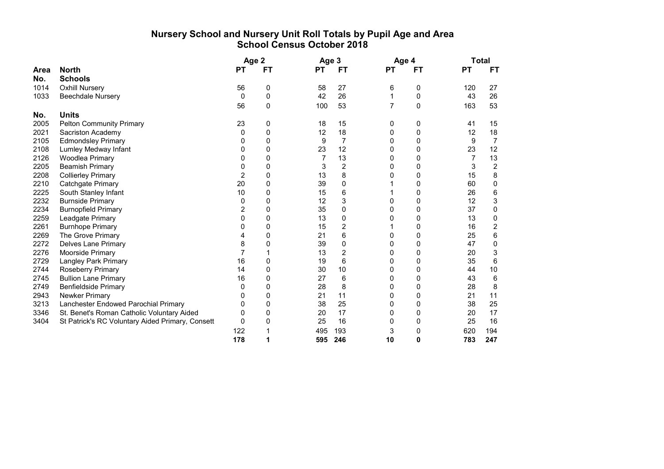# Nursery School and Nursery Unit Roll Totals by Pupil Age and Area School Census October 2018

|      |                                                  |                | Age 2 |           | Age 3          |           | Age 4    |           | <b>Total</b> |
|------|--------------------------------------------------|----------------|-------|-----------|----------------|-----------|----------|-----------|--------------|
| Area | <b>North</b>                                     | <b>PT</b>      | FT    | <b>PT</b> | <b>FT</b>      | <b>PT</b> | FT       | <b>PT</b> | FT.          |
| No.  | <b>Schools</b>                                   |                |       |           |                |           |          |           |              |
| 1014 | <b>Oxhill Nursery</b>                            | 56             | 0     | 58        | 27             | 6         | 0        | 120       | 27           |
| 1033 | <b>Beechdale Nursery</b>                         | $\Omega$       | 0     | 42        | 26             |           | $\Omega$ | 43        | 26           |
|      |                                                  | 56             | 0     | 100       | 53             | 7         | $\Omega$ | 163       | 53           |
| No.  | <b>Units</b>                                     |                |       |           |                |           |          |           |              |
| 2005 | <b>Pelton Community Primary</b>                  | 23             | 0     | 18        | 15             | 0         | 0        | 41        | 15           |
| 2021 | Sacriston Academy                                | 0              | 0     | 12        | 18             | 0         | 0        | 12        | 18           |
| 2105 | <b>Edmondsley Primary</b>                        | 0              | 0     | 9         | 7              | 0         | 0        | 9         | 7            |
| 2108 | Lumley Medway Infant                             | 0              | 0     | 23        | 12             | 0         | 0        | 23        | 12           |
| 2126 | Woodlea Primary                                  | 0              | 0     | 7         | 13             | 0         | 0        | 7         | 13           |
| 2205 | <b>Beamish Primary</b>                           | 0              | 0     | 3         | 2              | 0         | 0        | 3         | 2            |
| 2208 | <b>Collierley Primary</b>                        | $\overline{2}$ | 0     | 13        | 8              | 0         | 0        | 15        | 8            |
| 2210 | Catchgate Primary                                | 20             | 0     | 39        | 0              |           | 0        | 60        | 0            |
| 2225 | South Stanley Infant                             | 10             | 0     | 15        | 6              |           | 0        | 26        | 6            |
| 2232 | <b>Burnside Primary</b>                          | 0              | 0     | 12        | 3              | 0         | 0        | 12        | 3            |
| 2234 | <b>Burnopfield Primary</b>                       | 2              | 0     | 35        | 0              | 0         | 0        | 37        | 0            |
| 2259 | Leadgate Primary                                 | $\Omega$       | 0     | 13        | 0              | 0         | 0        | 13        | 0            |
| 2261 | <b>Burnhope Primary</b>                          | 0              | 0     | 15        | $\overline{2}$ |           | 0        | 16        | 2            |
| 2269 | The Grove Primary                                |                | 0     | 21        | 6              | 0         | 0        | 25        | 6            |
| 2272 | <b>Delves Lane Primary</b>                       | 8              | 0     | 39        | 0              | 0         | 0        | 47        | 0            |
| 2276 | Moorside Primary                                 |                |       | 13        | 2              | 0         | 0        | 20        | 3            |
| 2729 | <b>Langley Park Primary</b>                      | 16             | 0     | 19        | 6              | 0         | 0        | 35        | 6            |
| 2744 | Roseberry Primary                                | 14             | 0     | 30        | 10             | 0         | 0        | 44        | 10           |
| 2745 | <b>Bullion Lane Primary</b>                      | 16             | 0     | 27        | 6              | 0         | 0        | 43        | 6            |
| 2749 | <b>Benfieldside Primary</b>                      | 0              | 0     | 28        | 8              | 0         | 0        | 28        | 8            |
| 2943 | Newker Primary                                   | 0              | 0     | 21        | 11             | 0         | 0        | 21        | 11           |
| 3213 | Lanchester Endowed Parochial Primary             | 0              | 0     | 38        | 25             | 0         | 0        | 38        | 25           |
| 3346 | St. Benet's Roman Catholic Voluntary Aided       | 0              | 0     | 20        | 17             | 0         | 0        | 20        | 17           |
| 3404 | St Patrick's RC Voluntary Aided Primary, Consett | $\Omega$       | 0     | 25        | 16             | 0         | 0        | 25        | 16           |
|      |                                                  | 122            |       | 495       | 193            | 3         | 0        | 620       | 194          |
|      |                                                  | 178            |       | 595       | 246            | 10        | 0        | 783       | 247          |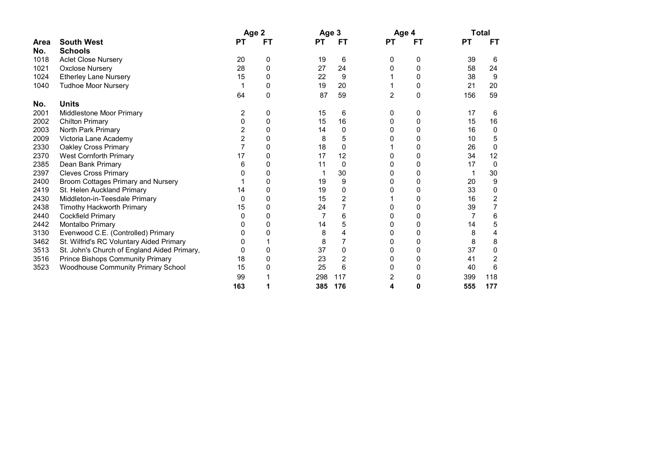|             |                                             | Age 2        |    | Age 3 |     |              | Age 4 |           | Total |
|-------------|---------------------------------------------|--------------|----|-------|-----|--------------|-------|-----------|-------|
| <b>Area</b> | <b>South West</b>                           | PТ           | FТ | РT    | FТ  | <b>PT</b>    | FТ    | <b>PT</b> | FТ    |
| No.         | <b>Schools</b>                              |              |    |       |     |              |       |           |       |
| 1018        | <b>Aclet Close Nursery</b>                  | 20           | 0  | 19    | 6   | $\mathbf{0}$ | 0     | 39        | 6     |
| 1021        | <b>Oxclose Nursery</b>                      | 28           | 0  | 27    | 24  |              | 0     | 58        | 24    |
| 1024        | <b>Etherley Lane Nursery</b>                | 15           | 0  | 22    | 9   |              | 0     | 38        | 9     |
| 1040        | <b>Tudhoe Moor Nursery</b>                  |              | 0  | 19    | 20  |              | 0     | 21        | 20    |
|             |                                             | 64           | 0  | 87    | 59  | 2            | 0     | 156       | 59    |
| No.         | <b>Units</b>                                |              |    |       |     |              |       |           |       |
| 2001        | Middlestone Moor Primary                    | 2            | 0  | 15    | 6   |              | 0     | 17        | 6     |
| 2002        | <b>Chilton Primary</b>                      | 0            | 0  | 15    | 16  |              | 0     | 15        | 16    |
| 2003        | North Park Primary                          | 2            |    | 14    | 0   |              | 0     | 16        | 0     |
| 2009        | Victoria Lane Academy                       | 2            | 0  | 8     | 5   |              | 0     | 10        | 5     |
| 2330        | <b>Oakley Cross Primary</b>                 |              | 0  | 18    | 0   |              | 0     | 26        | 0     |
| 2370        | <b>West Cornforth Primary</b>               | 17           | 0  | 17    | 12  | 0            | 0     | 34        | 12    |
| 2385        | Dean Bank Primary                           | 6            | 0  | 11    | 0   |              | 0     | 17        | 0     |
| 2397        | <b>Cleves Cross Primary</b>                 |              | 0  |       | 30  | 0            | 0     |           | 30    |
| 2400        | Broom Cottages Primary and Nursery          |              | 0  | 19    | 9   |              | 0     | 20        | 9     |
| 2419        | St. Helen Auckland Primary                  | 14           | 0  | 19    | 0   |              | 0     | 33        | 0     |
| 2430        | Middleton-in-Teesdale Primary               | $\mathbf{0}$ | 0  | 15    | 2   |              | 0     | 16        |       |
| 2438        | Timothy Hackworth Primary                   | 15           | 0  | 24    |     |              | 0     | 39        |       |
| 2440        | Cockfield Primary                           |              | 0  | 7     | 6   |              | 0     |           | 6     |
| 2442        | Montalbo Primary                            |              |    | 14    | 5   |              | Ω     | 14        | 5     |
| 3130        | Evenwood C.E. (Controlled) Primary          |              |    | 8     |     |              | 0     | 8         | 4     |
| 3462        | St. Wilfrid's RC Voluntary Aided Primary    |              |    | 8     |     |              | 0     | 8         | 8     |
| 3513        | St. John's Church of England Aided Primary, |              |    | 37    | 0   |              | 0     | 37        | 0     |
| 3516        | <b>Prince Bishops Community Primary</b>     | 18           | 0  | 23    | 2   |              | 0     | 41        | 2     |
| 3523        | <b>Woodhouse Community Primary School</b>   | 15           |    | 25    | 6   |              | 0     | 40        | 6     |
|             |                                             | 99           |    | 298   | 117 | 2            | Ω     | 399       | 118   |
|             |                                             | 163          |    | 385   | 176 |              | n     | 555       | 177   |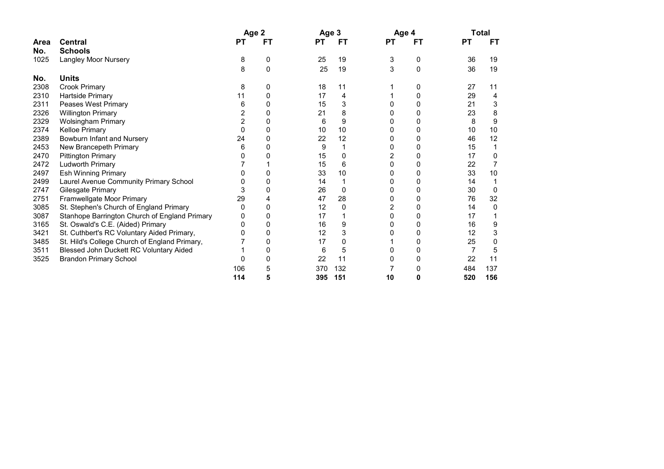|      |                                               |                | Age 2 | Age 3     |     |           | Age 4 |           | Total |
|------|-----------------------------------------------|----------------|-------|-----------|-----|-----------|-------|-----------|-------|
| Area | <b>Central</b>                                | PT             | FТ    | <b>PT</b> | FT  | <b>PT</b> | FT    | <b>PT</b> | FТ    |
| No.  | <b>Schools</b>                                |                |       |           |     |           |       |           |       |
| 1025 | Langley Moor Nursery                          | 8              | 0     | 25        | 19  | 3         | 0     | 36        | 19    |
|      |                                               | 8              | 0     | 25        | 19  | 3         | 0     | 36        | 19    |
| No.  | <b>Units</b>                                  |                |       |           |     |           |       |           |       |
| 2308 | <b>Crook Primary</b>                          | 8              | 0     | 18        | 11  |           | 0     | 27        | 11    |
| 2310 | Hartside Primary                              | 11             | 0     | 17        | 4   |           | 0     | 29        | 4     |
| 2311 | Peases West Primary                           | 6              | U     | 15        | 3   |           | 0     | 21        | 3     |
| 2326 | <b>Willington Primary</b>                     | 2              | 0     | 21        | 8   |           | 0     | 23        | 8     |
| 2329 | <b>Wolsingham Primary</b>                     | $\overline{2}$ | 0     | 6         | 9   | Ω         | 0     | 8         | 9     |
| 2374 | Kelloe Primary                                | 0              | 0     | 10        | 10  |           | 0     | 10        | 10    |
| 2389 | Bowburn Infant and Nursery                    | 24             | 0     | 22        | 12  | O         | 0     | 46        | 12    |
| 2453 | New Brancepeth Primary                        | 6              | 0     | 9         |     |           | 0     | 15        |       |
| 2470 | <b>Pittington Primary</b>                     |                |       | 15        | 0   | 2         | 0     | 17        | 0     |
| 2472 | Ludworth Primary                              |                |       | 15        | 6   | 0         | 0     | 22        |       |
| 2497 | <b>Esh Winning Primary</b>                    |                | 0     | 33        | 10  |           | 0     | 33        | 10    |
| 2499 | Laurel Avenue Community Primary School        |                | U     | 14        |     | O         | 0     | 14        |       |
| 2747 | Gilesgate Primary                             | 3              | 0     | 26        | 0   | 0         | 0     | 30        | 0     |
| 2751 | Framwellgate Moor Primary                     | 29             |       | 47        | 28  | 0         | 0     | 76        | 32    |
| 3085 | St. Stephen's Church of England Primary       | 0              | 0     | 12        | 0   | 2         | 0     | 14        | 0     |
| 3087 | Stanhope Barrington Church of England Primary | U              | 0     | 17        |     | 0         | 0     | 17        |       |
| 3165 | St. Oswald's C.E. (Aided) Primary             | 0              | 0     | 16        | 9   |           | 0     | 16        | 9     |
| 3421 | St. Cuthbert's RC Voluntary Aided Primary,    |                | 0     | 12        |     |           | 0     | 12        |       |
| 3485 | St. Hild's College Church of England Primary, |                | 0     | 17        | 0   |           | 0     | 25        |       |
| 3511 | Blessed John Duckett RC Voluntary Aided       |                | 0     | 6         | 5   |           | 0     |           | 5     |
| 3525 | <b>Brandon Primary School</b>                 |                |       | 22        | 11  |           | 0     | 22        | 11    |
|      |                                               | 106            | 5     | 370       | 132 |           | 0     | 484       | 137   |
|      |                                               | 114            | 5     | 395       | 151 | 10        | 0     | 520       | 156   |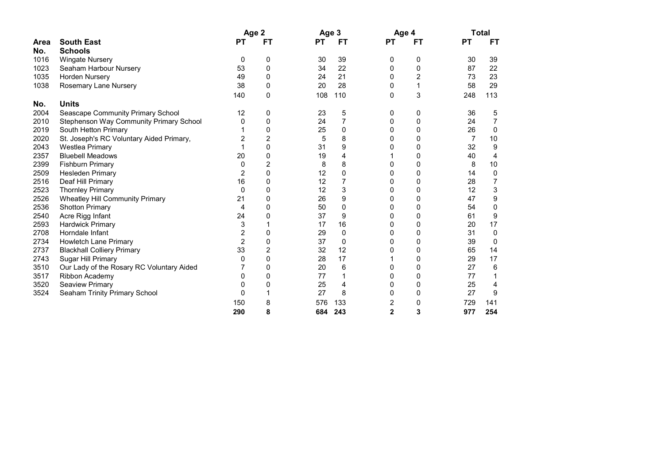|      |                                           | Age 2          |    | Age 3     |     | Age 4          |    |           | <b>Total</b> |
|------|-------------------------------------------|----------------|----|-----------|-----|----------------|----|-----------|--------------|
| Area | <b>South East</b>                         | PТ             | FT | <b>PT</b> | FТ  | <b>PT</b>      | FТ | <b>PT</b> | FT           |
| No.  | <b>Schools</b>                            |                |    |           |     |                |    |           |              |
| 1016 | <b>Wingate Nursery</b>                    | 0              | 0  | 30        | 39  | 0              | 0  | 30        | 39           |
| 1023 | Seaham Harbour Nursery                    | 53             | 0  | 34        | 22  | 0              | 0  | 87        | 22           |
| 1035 | Horden Nursery                            | 49             | 0  | 24        | 21  | 0              | 2  | 73        | 23           |
| 1038 | Rosemary Lane Nursery                     | 38             | 0  | 20        | 28  | 0              | 1  | 58        | 29           |
|      |                                           | 140            | 0  | 108       | 110 | 0              | 3  | 248       | 113          |
| No.  | <b>Units</b>                              |                |    |           |     |                |    |           |              |
| 2004 | Seascape Community Primary School         | 12             | 0  | 23        | 5   | 0              | 0  | 36        | 5            |
| 2010 | Stephenson Way Community Primary School   | 0              | 0  | 24        | 7   | 0              | 0  | 24        | 7            |
| 2019 | South Hetton Primary                      |                | 0  | 25        | 0   | 0              | 0  | 26        | $\mathbf{0}$ |
| 2020 | St. Joseph's RC Voluntary Aided Primary,  | 2              | 2  | 5         | 8   | 0              | 0  | 7         | 10           |
| 2043 | <b>Westlea Primary</b>                    |                | 0  | 31        | 9   | 0              | 0  | 32        | 9            |
| 2357 | <b>Bluebell Meadows</b>                   | 20             | 0  | 19        | 4   |                | 0  | 40        | 4            |
| 2399 | <b>Fishburn Primary</b>                   | 0              | 2  | 8         | 8   | 0              | 0  | 8         | 10           |
| 2509 | <b>Hesleden Primary</b>                   | 2              | 0  | 12        | 0   | 0              | 0  | 14        | 0            |
| 2516 | Deaf Hill Primary                         | 16             | 0  | 12        |     | 0              | 0  | 28        |              |
| 2523 | <b>Thornley Primary</b>                   | 0              | 0  | 12        | 3   | 0              | 0  | 12        | 3            |
| 2526 | Wheatley Hill Community Primary           | 21             | 0  | 26        | 9   | 0              | 0  | 47        | 9            |
| 2536 | <b>Shotton Primary</b>                    | 4              | 0  | 50        | 0   | 0              | 0  | 54        | 0            |
| 2540 | Acre Rigg Infant                          | 24             | 0  | 37        | 9   | 0              | 0  | 61        | 9            |
| 2593 | <b>Hardwick Primary</b>                   | 3              |    | 17        | 16  | 0              | 0  | 20        | 17           |
| 2708 | Horndale Infant                           | 2              | 0  | 29        | 0   | 0              | 0  | 31        | 0            |
| 2734 | Howletch Lane Primary                     | $\overline{2}$ | 0  | 37        | 0   | 0              | 0  | 39        | 0            |
| 2737 | <b>Blackhall Colliery Primary</b>         | 33             | 2  | 32        | 12  | 0              | 0  | 65        | 14           |
| 2743 | Sugar Hill Primary                        | 0              | 0  | 28        | 17  |                | 0  | 29        | 17           |
| 3510 | Our Lady of the Rosary RC Voluntary Aided |                | 0  | 20        | 6   | 0              | 0  | 27        | 6            |
| 3517 | Ribbon Academy                            | 0              | 0  | 77        |     | 0              | 0  | 77        |              |
| 3520 | <b>Seaview Primary</b>                    | 0              | 0  | 25        | 4   | 0              | 0  | 25        | 4            |
| 3524 | Seaham Trinity Primary School             | 0              |    | 27        | 8   | 0              | 0  | 27        | 9            |
|      |                                           | 150            | 8  | 576       | 133 | 2              | 0  | 729       | 141          |
|      |                                           | 290            | 8  | 684       | 243 | $\overline{2}$ | 3  | 977       | 254          |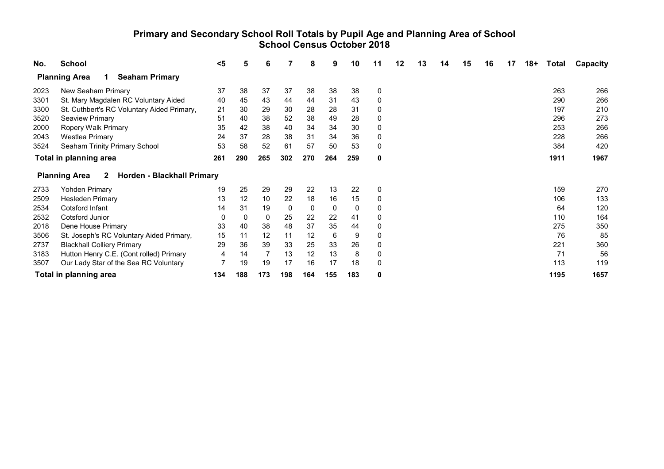#### Primary and Secondary School Roll Totals by Pupil Age and Planning Area of School School Census October 2018

| No.  | <b>School</b>                                                      | <5  | 5   | 6   |     | 8   | 9   | 10  | 11 | 12 | 13 | 14 | 15 | 16 | 17 | $18+$ | Total | Capacity |
|------|--------------------------------------------------------------------|-----|-----|-----|-----|-----|-----|-----|----|----|----|----|----|----|----|-------|-------|----------|
|      | <b>Planning Area</b><br><b>Seaham Primary</b><br>1.                |     |     |     |     |     |     |     |    |    |    |    |    |    |    |       |       |          |
| 2023 | New Seaham Primary                                                 | 37  | 38  | 37  | 37  | 38  | 38  | 38  | 0  |    |    |    |    |    |    |       | 263   | 266      |
| 3301 | St. Mary Magdalen RC Voluntary Aided                               | 40  | 45  | 43  | 44  | 44  | 31  | 43  | 0  |    |    |    |    |    |    |       | 290   | 266      |
| 3300 | St. Cuthbert's RC Voluntary Aided Primary,                         | 21  | 30  | 29  | 30  | 28  | 28  | 31  | 0  |    |    |    |    |    |    |       | 197   | 210      |
| 3520 | <b>Seaview Primary</b>                                             | 51  | 40  | 38  | 52  | 38  | 49  | 28  | 0  |    |    |    |    |    |    |       | 296   | 273      |
| 2000 | Ropery Walk Primary                                                | 35  | 42  | 38  | 40  | 34  | 34  | 30  | 0  |    |    |    |    |    |    |       | 253   | 266      |
| 2043 | <b>Westlea Primary</b>                                             | 24  | 37  | 28  | 38  | 31  | 34  | 36  | 0  |    |    |    |    |    |    |       | 228   | 266      |
| 3524 | Seaham Trinity Primary School                                      | 53  | 58  | 52  | 61  | 57  | 50  | 53  | 0  |    |    |    |    |    |    |       | 384   | 420      |
|      | Total in planning area                                             | 261 | 290 | 265 | 302 | 270 | 264 | 259 | 0  |    |    |    |    |    |    |       | 1911  | 1967     |
|      | Horden - Blackhall Primary<br><b>Planning Area</b><br>$\mathbf{2}$ |     |     |     |     |     |     |     |    |    |    |    |    |    |    |       |       |          |
| 2733 | <b>Yohden Primary</b>                                              | 19  | 25  | 29  | 29  | 22  | 13  | 22  | 0  |    |    |    |    |    |    |       | 159   | 270      |
| 2509 | <b>Hesleden Primary</b>                                            | 13  | 12  | 10  | 22  | 18  | 16  | 15  | 0  |    |    |    |    |    |    |       | 106   | 133      |
| 2534 | Cotsford Infant                                                    | 14  | 31  | 19  | 0   | 0   | 0   | 0   | 0  |    |    |    |    |    |    |       | 64    | 120      |
| 2532 | Cotsford Junior                                                    | 0   | 0   | 0   | 25  | 22  | 22  | 41  | 0  |    |    |    |    |    |    |       | 110   | 164      |
| 2018 | Dene House Primary                                                 | 33  | 40  | 38  | 48  | 37  | 35  | 44  | 0  |    |    |    |    |    |    |       | 275   | 350      |
| 3506 | St. Joseph's RC Voluntary Aided Primary,                           | 15  | 11  | 12  | 11  | 12  | 6   | 9   | 0  |    |    |    |    |    |    |       | 76    | 85       |
| 2737 | <b>Blackhall Colliery Primary</b>                                  | 29  | 36  | 39  | 33  | 25  | 33  | 26  | 0  |    |    |    |    |    |    |       | 221   | 360      |
| 3183 | Hutton Henry C.E. (Cont rolled) Primary                            | 4   | 14  |     | 13  | 12  | 13  | 8   | 0  |    |    |    |    |    |    |       | 71    | 56       |
| 3507 | Our Lady Star of the Sea RC Voluntary                              |     | 19  | 19  | 17  | 16  | 17  | 18  | 0  |    |    |    |    |    |    |       | 113   | 119      |
|      | <b>Total in planning area</b>                                      | 134 | 188 | 173 | 198 | 164 | 155 | 183 | 0  |    |    |    |    |    |    |       | 1195  | 1657     |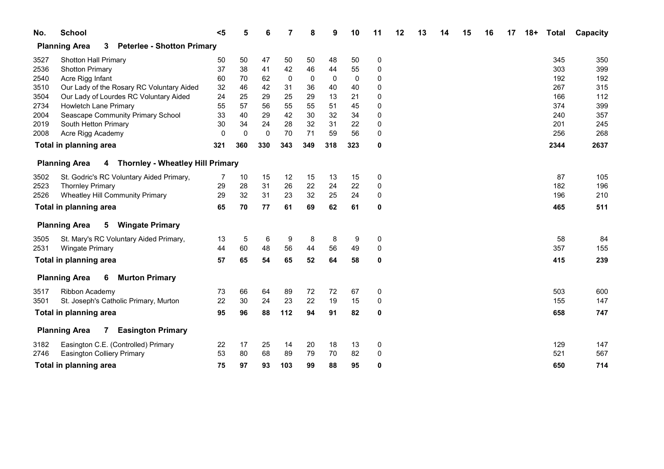| No.  | <b>School</b>                                                         | $5$      | 5        | 6   |             | 8   | 9           | 10  | 11        | 12 | 13 | 14 | 15 | 16 | 17 | $18+$ | <b>Total</b> | Capacity |
|------|-----------------------------------------------------------------------|----------|----------|-----|-------------|-----|-------------|-----|-----------|----|----|----|----|----|----|-------|--------------|----------|
|      | <b>Planning Area</b><br><b>Peterlee - Shotton Primary</b><br>3        |          |          |     |             |     |             |     |           |    |    |    |    |    |    |       |              |          |
| 3527 | <b>Shotton Hall Primary</b>                                           | 50       | 50       | 47  | 50          | 50  | 48          | 50  | $\pmb{0}$ |    |    |    |    |    |    |       | 345          | 350      |
| 2536 | <b>Shotton Primary</b>                                                | 37       | 38       | 41  | 42          | 46  | 44          | 55  | 0         |    |    |    |    |    |    |       | 303          | 399      |
| 2540 | Acre Rigg Infant                                                      | 60       | 70       | 62  | $\mathbf 0$ | 0   | $\mathbf 0$ | 0   | 0         |    |    |    |    |    |    |       | 192          | 192      |
| 3510 | Our Lady of the Rosary RC Voluntary Aided                             | 32       | 46       | 42  | 31          | 36  | 40          | 40  | 0         |    |    |    |    |    |    |       | 267          | 315      |
| 3504 | Our Lady of Lourdes RC Voluntary Aided                                | 24       | 25       | 29  | 25          | 29  | 13          | 21  | 0         |    |    |    |    |    |    |       | 166          | 112      |
| 2734 | Howletch Lane Primary                                                 | 55       | 57       | 56  | 55          | 55  | 51          | 45  | 0         |    |    |    |    |    |    |       | 374          | 399      |
| 2004 | Seascape Community Primary School                                     | 33       | 40       | 29  | 42          | 30  | 32          | 34  | 0         |    |    |    |    |    |    |       | 240          | 357      |
| 2019 | South Hetton Primary                                                  | 30       | 34       | 24  | 28          | 32  | 31          | 22  | 0         |    |    |    |    |    |    |       | 201          | 245      |
| 2008 | Acre Rigg Academy                                                     | $\Omega$ | $\Omega$ | 0   | 70          | 71  | 59          | 56  | 0         |    |    |    |    |    |    |       | 256          | 268      |
|      | Total in planning area                                                | 321      | 360      | 330 | 343         | 349 | 318         | 323 | 0         |    |    |    |    |    |    |       | 2344         | 2637     |
|      | <b>Thornley - Wheatley Hill Primary</b><br><b>Planning Area</b><br>4  |          |          |     |             |     |             |     |           |    |    |    |    |    |    |       |              |          |
| 3502 | St. Godric's RC Voluntary Aided Primary,                              | 7        | 10       | 15  | 12          | 15  | 13          | 15  | 0         |    |    |    |    |    |    |       | 87           | 105      |
| 2523 | <b>Thornley Primary</b>                                               | 29       | 28       | 31  | 26          | 22  | 24          | 22  | 0         |    |    |    |    |    |    |       | 182          | 196      |
| 2526 | Wheatley Hill Community Primary                                       | 29       | 32       | 31  | 23          | 32  | 25          | 24  | 0         |    |    |    |    |    |    |       | 196          | 210      |
|      | Total in planning area                                                | 65       | 70       | 77  | 61          | 69  | 62          | 61  | 0         |    |    |    |    |    |    |       | 465          | 511      |
|      | <b>Planning Area</b><br>5<br><b>Wingate Primary</b>                   |          |          |     |             |     |             |     |           |    |    |    |    |    |    |       |              |          |
| 3505 | St. Mary's RC Voluntary Aided Primary,                                | 13       | 5        | 6   | 9           | 8   | 8           | 9   | 0         |    |    |    |    |    |    |       | 58           | 84       |
| 2531 | <b>Wingate Primary</b>                                                | 44       | 60       | 48  | 56          | 44  | 56          | 49  | 0         |    |    |    |    |    |    |       | 357          | 155      |
|      | Total in planning area                                                | 57       | 65       | 54  | 65          | 52  | 64          | 58  | 0         |    |    |    |    |    |    |       | 415          | 239      |
|      | <b>Planning Area</b><br><b>Murton Primary</b><br>6                    |          |          |     |             |     |             |     |           |    |    |    |    |    |    |       |              |          |
| 3517 | Ribbon Academy                                                        | 73       | 66       | 64  | 89          | 72  | 72          | 67  | 0         |    |    |    |    |    |    |       | 503          | 600      |
| 3501 | St. Joseph's Catholic Primary, Murton                                 | 22       | 30       | 24  | 23          | 22  | 19          | 15  | 0         |    |    |    |    |    |    |       | 155          | 147      |
|      | Total in planning area                                                | 95       | 96       | 88  | 112         | 94  | 91          | 82  | 0         |    |    |    |    |    |    |       | 658          | 747      |
|      | <b>Planning Area</b><br><b>Easington Primary</b><br>$7\phantom{.000}$ |          |          |     |             |     |             |     |           |    |    |    |    |    |    |       |              |          |
| 3182 | Easington C.E. (Controlled) Primary                                   | 22       | 17       | 25  | 14          | 20  | 18          | 13  | 0         |    |    |    |    |    |    |       | 129          | 147      |
| 2746 | <b>Easington Colliery Primary</b>                                     | 53       | 80       | 68  | 89          | 79  | 70          | 82  | 0         |    |    |    |    |    |    |       | 521          | 567      |
|      | Total in planning area                                                | 75       | 97       | 93  | 103         | 99  | 88          | 95  | 0         |    |    |    |    |    |    |       | 650          | 714      |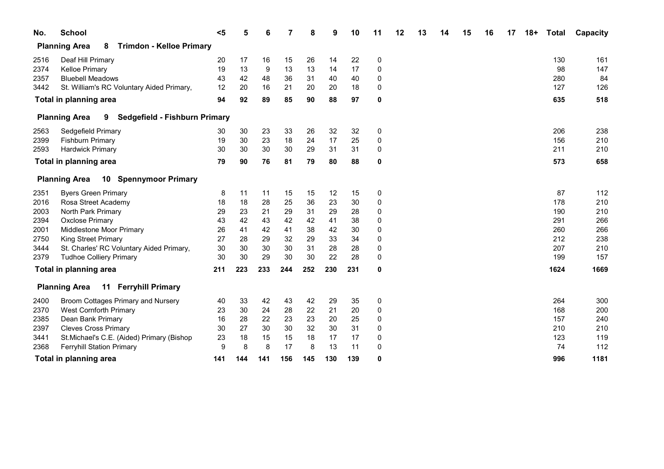| No.  | <b>School</b>                                                | $5$ |     |     |     | 8   | 9   | 10  | 11       | 12 | 13 | 14 | 15 | 16 | 17 | $18+$ | <b>Total</b> | Capacity |
|------|--------------------------------------------------------------|-----|-----|-----|-----|-----|-----|-----|----------|----|----|----|----|----|----|-------|--------------|----------|
|      | <b>Planning Area</b><br><b>Trimdon - Kelloe Primary</b><br>8 |     |     |     |     |     |     |     |          |    |    |    |    |    |    |       |              |          |
| 2516 | Deaf Hill Primary                                            | 20  | 17  | 16  | 15  | 26  | 14  | 22  | 0        |    |    |    |    |    |    |       | 130          | 161      |
| 2374 | <b>Kelloe Primary</b>                                        | 19  | 13  | 9   | 13  | 13  | 14  | 17  | 0        |    |    |    |    |    |    |       | 98           | 147      |
| 2357 | <b>Bluebell Meadows</b>                                      | 43  | 42  | 48  | 36  | 31  | 40  | 40  | 0        |    |    |    |    |    |    |       | 280          | 84       |
| 3442 | St. William's RC Voluntary Aided Primary,                    | 12  | 20  | 16  | 21  | 20  | 20  | 18  | 0        |    |    |    |    |    |    |       | 127          | 126      |
|      | Total in planning area                                       | 94  | 92  | 89  | 85  | 90  | 88  | 97  | 0        |    |    |    |    |    |    |       | 635          | 518      |
|      | Sedgefield - Fishburn Primary<br><b>Planning Area</b><br>9   |     |     |     |     |     |     |     |          |    |    |    |    |    |    |       |              |          |
| 2563 | Sedgefield Primary                                           | 30  | 30  | 23  | 33  | 26  | 32  | 32  | 0        |    |    |    |    |    |    |       | 206          | 238      |
| 2399 | <b>Fishburn Primary</b>                                      | 19  | 30  | 23  | 18  | 24  | 17  | 25  | 0        |    |    |    |    |    |    |       | 156          | 210      |
| 2593 | <b>Hardwick Primary</b>                                      | 30  | 30  | 30  | 30  | 29  | 31  | 31  | 0        |    |    |    |    |    |    |       | 211          | 210      |
|      | Total in planning area                                       | 79  | 90  | 76  | 81  | 79  | 80  | 88  | 0        |    |    |    |    |    |    |       | 573          | 658      |
|      | 10 Spennymoor Primary<br><b>Planning Area</b>                |     |     |     |     |     |     |     |          |    |    |    |    |    |    |       |              |          |
| 2351 | <b>Byers Green Primary</b>                                   | 8   | 11  | 11  | 15  | 15  | 12  | 15  | 0        |    |    |    |    |    |    |       | 87           | 112      |
| 2016 | Rosa Street Academy                                          | 18  | 18  | 28  | 25  | 36  | 23  | 30  | 0        |    |    |    |    |    |    |       | 178          | 210      |
| 2003 | North Park Primary                                           | 29  | 23  | 21  | 29  | 31  | 29  | 28  | 0        |    |    |    |    |    |    |       | 190          | 210      |
| 2394 | <b>Oxclose Primary</b>                                       | 43  | 42  | 43  | 42  | 42  | 41  | 38  | 0        |    |    |    |    |    |    |       | 291          | 266      |
| 2001 | Middlestone Moor Primary                                     | 26  | 41  | 42  | 41  | 38  | 42  | 30  | 0        |    |    |    |    |    |    |       | 260          | 266      |
| 2750 | <b>King Street Primary</b>                                   | 27  | 28  | 29  | 32  | 29  | 33  | 34  | 0        |    |    |    |    |    |    |       | 212          | 238      |
| 3444 | St. Charles' RC Voluntary Aided Primary,                     | 30  | 30  | 30  | 30  | 31  | 28  | 28  | 0        |    |    |    |    |    |    |       | 207          | 210      |
| 2379 | <b>Tudhoe Colliery Primary</b>                               | 30  | 30  | 29  | 30  | 30  | 22  | 28  | $\Omega$ |    |    |    |    |    |    |       | 199          | 157      |
|      | Total in planning area                                       | 211 | 223 | 233 | 244 | 252 | 230 | 231 | 0        |    |    |    |    |    |    |       | 1624         | 1669     |
|      | <b>Ferryhill Primary</b><br><b>Planning Area</b><br>11       |     |     |     |     |     |     |     |          |    |    |    |    |    |    |       |              |          |
| 2400 | Broom Cottages Primary and Nursery                           | 40  | 33  | 42  | 43  | 42  | 29  | 35  | 0        |    |    |    |    |    |    |       | 264          | 300      |
| 2370 | <b>West Cornforth Primary</b>                                | 23  | 30  | 24  | 28  | 22  | 21  | 20  | 0        |    |    |    |    |    |    |       | 168          | 200      |
| 2385 | Dean Bank Primary                                            | 16  | 28  | 22  | 23  | 23  | 20  | 25  | 0        |    |    |    |    |    |    |       | 157          | 240      |
| 2397 | <b>Cleves Cross Primary</b>                                  | 30  | 27  | 30  | 30  | 32  | 30  | 31  | 0        |    |    |    |    |    |    |       | 210          | 210      |
| 3441 | St.Michael's C.E. (Aided) Primary (Bishop                    | 23  | 18  | 15  | 15  | 18  | 17  | 17  | 0        |    |    |    |    |    |    |       | 123          | 119      |
| 2368 | <b>Ferryhill Station Primary</b>                             | 9   | 8   | 8   | 17  | 8   | 13  | 11  | 0        |    |    |    |    |    |    |       | 74           | 112      |
|      | Total in planning area                                       | 141 | 144 | 141 | 156 | 145 | 130 | 139 | 0        |    |    |    |    |    |    |       | 996          | 1181     |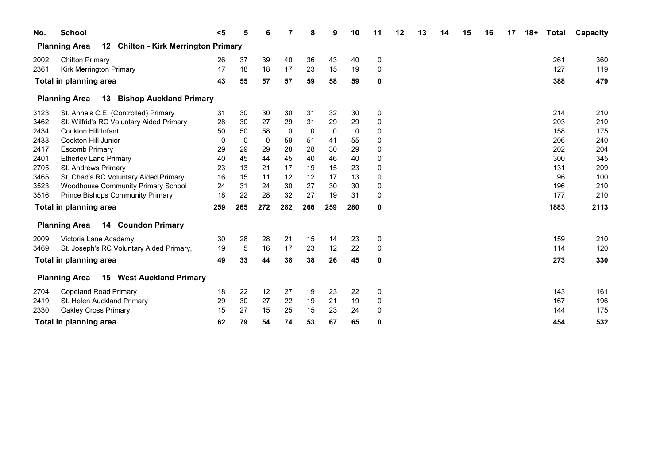| No.  | <b>School</b>                                                                       | $5$ | 5   | 6   |     | 8   | 9   | 10  | 11          | 12 | 13 | 14 | 15 | 16 | 17 | $18+$ | <b>Total</b> | Capacity |
|------|-------------------------------------------------------------------------------------|-----|-----|-----|-----|-----|-----|-----|-------------|----|----|----|----|----|----|-------|--------------|----------|
|      | <b>Chilton - Kirk Merrington Primary</b><br>12 <sub>2</sub><br><b>Planning Area</b> |     |     |     |     |     |     |     |             |    |    |    |    |    |    |       |              |          |
| 2002 | <b>Chilton Primary</b>                                                              | 26  | 37  | 39  | 40  | 36  | 43  | 40  | 0           |    |    |    |    |    |    |       | 261          | 360      |
| 2361 | Kirk Merrington Primary                                                             | 17  | 18  | 18  | 17  | 23  | 15  | 19  | 0           |    |    |    |    |    |    |       | 127          | 119      |
|      | Total in planning area                                                              | 43  | 55  | 57  | 57  | 59  | 58  | 59  | 0           |    |    |    |    |    |    |       | 388          | 479      |
|      | 13<br><b>Bishop Auckland Primary</b><br><b>Planning Area</b>                        |     |     |     |     |     |     |     |             |    |    |    |    |    |    |       |              |          |
| 3123 | St. Anne's C.E. (Controlled) Primary                                                | 31  | 30  | 30  | 30  | 31  | 32  | 30  | 0           |    |    |    |    |    |    |       | 214          | 210      |
| 3462 | St. Wilfrid's RC Voluntary Aided Primary                                            | 28  | 30  | 27  | 29  | 31  | 29  | 29  | 0           |    |    |    |    |    |    |       | 203          | 210      |
| 2434 | <b>Cockton Hill Infant</b>                                                          | 50  | 50  | 58  | 0   | 0   | 0   | 0   | 0           |    |    |    |    |    |    |       | 158          | 175      |
| 2433 | Cockton Hill Junior                                                                 | 0   | 0   | 0   | 59  | 51  | 41  | 55  | 0           |    |    |    |    |    |    |       | 206          | 240      |
| 2417 | <b>Escomb Primary</b>                                                               | 29  | 29  | 29  | 28  | 28  | 30  | 29  | 0           |    |    |    |    |    |    |       | 202          | 204      |
| 2401 | <b>Etherley Lane Primary</b>                                                        | 40  | 45  | 44  | 45  | 40  | 46  | 40  | 0           |    |    |    |    |    |    |       | 300          | 345      |
| 2705 | St. Andrews Primary                                                                 | 23  | 13  | 21  | 17  | 19  | 15  | 23  | 0           |    |    |    |    |    |    |       | 131          | 209      |
| 3465 | St. Chad's RC Voluntary Aided Primary,                                              | 16  | 15  | 11  | 12  | 12  | 17  | 13  | 0           |    |    |    |    |    |    |       | 96           | 100      |
| 3523 | <b>Woodhouse Community Primary School</b>                                           | 24  | 31  | 24  | 30  | 27  | 30  | 30  | 0           |    |    |    |    |    |    |       | 196          | 210      |
| 3516 | <b>Prince Bishops Community Primary</b>                                             | 18  | 22  | 28  | 32  | 27  | 19  | 31  | 0           |    |    |    |    |    |    |       | 177          | 210      |
|      | Total in planning area                                                              | 259 | 265 | 272 | 282 | 266 | 259 | 280 | 0           |    |    |    |    |    |    |       | 1883         | 2113     |
|      | <b>14 Coundon Primary</b><br><b>Planning Area</b>                                   |     |     |     |     |     |     |     |             |    |    |    |    |    |    |       |              |          |
| 2009 | Victoria Lane Academy                                                               | 30  | 28  | 28  | 21  | 15  | 14  | 23  | 0           |    |    |    |    |    |    |       | 159          | 210      |
| 3469 | St. Joseph's RC Voluntary Aided Primary,                                            | 19  | 5   | 16  | 17  | 23  | 12  | 22  | $\mathbf 0$ |    |    |    |    |    |    |       | 114          | 120      |
|      | Total in planning area                                                              | 49  | 33  | 44  | 38  | 38  | 26  | 45  | 0           |    |    |    |    |    |    |       | 273          | 330      |
|      | <b>West Auckland Primary</b><br><b>Planning Area</b><br>15                          |     |     |     |     |     |     |     |             |    |    |    |    |    |    |       |              |          |
| 2704 | <b>Copeland Road Primary</b>                                                        | 18  | 22  | 12  | 27  | 19  | 23  | 22  | 0           |    |    |    |    |    |    |       | 143          | 161      |
| 2419 | St. Helen Auckland Primary                                                          | 29  | 30  | 27  | 22  | 19  | 21  | 19  | 0           |    |    |    |    |    |    |       | 167          | 196      |
| 2330 | Oakley Cross Primary                                                                | 15  | 27  | 15  | 25  | 15  | 23  | 24  | 0           |    |    |    |    |    |    |       | 144          | 175      |
|      | Total in planning area                                                              | 62  | 79  | 54  | 74  | 53  | 67  | 65  | 0           |    |    |    |    |    |    |       | 454          | 532      |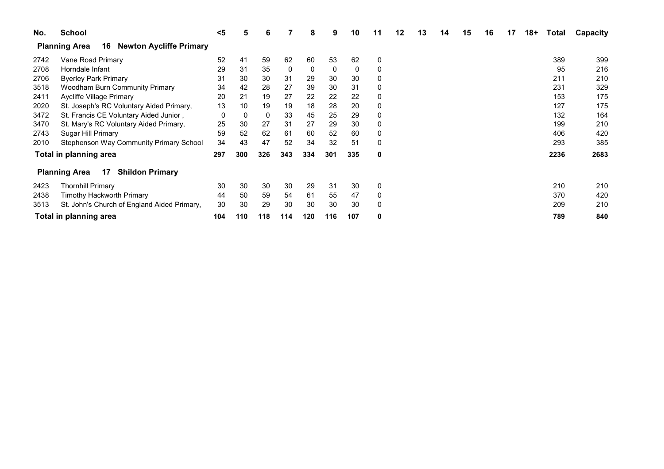| No.  | <b>School</b>                                                | $5$ | 5   | 6   |     | 8   | 9   | 10  | 11 | 12 | 13 | 14 | 15 | 16 | 17 | $18+$ | Total | Capacity |
|------|--------------------------------------------------------------|-----|-----|-----|-----|-----|-----|-----|----|----|----|----|----|----|----|-------|-------|----------|
|      | <b>Newton Aycliffe Primary</b><br><b>Planning Area</b><br>16 |     |     |     |     |     |     |     |    |    |    |    |    |    |    |       |       |          |
| 2742 | Vane Road Primary                                            | 52  | 41  | 59  | 62  | 60  | 53  | 62  |    |    |    |    |    |    |    |       | 389   | 399      |
| 2708 | Horndale Infant                                              | 29  | 31  | 35  | 0   | 0   | 0   | 0   |    |    |    |    |    |    |    |       | 95    | 216      |
| 2706 | <b>Byerley Park Primary</b>                                  | 31  | 30  | 30  | 31  | 29  | 30  | 30  |    |    |    |    |    |    |    |       | 211   | 210      |
| 3518 | <b>Woodham Burn Community Primary</b>                        | 34  | 42  | 28  | 27  | 39  | 30  | 31  |    |    |    |    |    |    |    |       | 231   | 329      |
| 2411 | Aycliffe Village Primary                                     | 20  | 21  | 19  | 27  | 22  | 22  | 22  |    |    |    |    |    |    |    |       | 153   | 175      |
| 2020 | St. Joseph's RC Voluntary Aided Primary,                     | 13  | 10  | 19  | 19  | 18  | 28  | 20  |    |    |    |    |    |    |    |       | 127   | 175      |
| 3472 | St. Francis CE Voluntary Aided Junior,                       | 0   | 0   | 0   | 33  | 45  | 25  | 29  |    |    |    |    |    |    |    |       | 132   | 164      |
| 3470 | St. Mary's RC Voluntary Aided Primary,                       | 25  | 30  | 27  | 31  | 27  | 29  | 30  |    |    |    |    |    |    |    |       | 199   | 210      |
| 2743 | Sugar Hill Primary                                           | 59  | 52  | 62  | 61  | 60  | 52  | 60  |    |    |    |    |    |    |    |       | 406   | 420      |
| 2010 | Stephenson Way Community Primary School                      | 34  | 43  | 47  | 52  | 34  | 32  | 51  |    |    |    |    |    |    |    |       | 293   | 385      |
|      | Total in planning area                                       | 297 | 300 | 326 | 343 | 334 | 301 | 335 | 0  |    |    |    |    |    |    |       | 2236  | 2683     |
|      | 17<br><b>Shildon Primary</b><br><b>Planning Area</b>         |     |     |     |     |     |     |     |    |    |    |    |    |    |    |       |       |          |
| 2423 | <b>Thornhill Primary</b>                                     | 30  | 30  | 30  | 30  | 29  | 31  | 30  |    |    |    |    |    |    |    |       | 210   | 210      |
| 2438 | Timothy Hackworth Primary                                    | 44  | 50  | 59  | 54  | 61  | 55  | 47  |    |    |    |    |    |    |    |       | 370   | 420      |
| 3513 | St. John's Church of England Aided Primary,                  | 30  | 30  | 29  | 30  | 30  | 30  | 30  |    |    |    |    |    |    |    |       | 209   | 210      |
|      | Total in planning area                                       | 104 | 110 | 118 | 114 | 120 | 116 | 107 | 0  |    |    |    |    |    |    |       | 789   | 840      |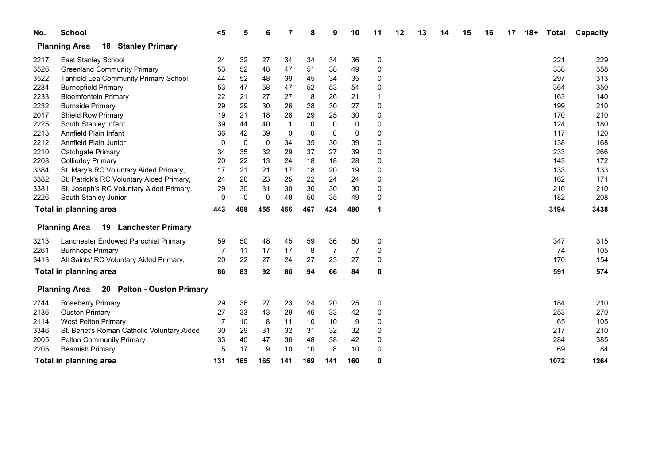| No.  | <b>School</b>                                                | $5$            | 5           | 6           |     | 8   | 9        | 10             | 11       | 12 | 13 | 14 | 15 | 16 | 17 | $18+$ | <b>Total</b> | Capacity |
|------|--------------------------------------------------------------|----------------|-------------|-------------|-----|-----|----------|----------------|----------|----|----|----|----|----|----|-------|--------------|----------|
|      | <b>Planning Area</b><br>18<br><b>Stanley Primary</b>         |                |             |             |     |     |          |                |          |    |    |    |    |    |    |       |              |          |
| 2217 | East Stanley School                                          | 24             | 32          | 27          | 34  | 34  | 34       | 36             | 0        |    |    |    |    |    |    |       | 221          | 229      |
| 3526 | <b>Greenland Community Primary</b>                           | 53             | 52          | 48          | 47  | 51  | 38       | 49             | 0        |    |    |    |    |    |    |       | 338          | 358      |
| 3522 | Tanfield Lea Community Primary School                        | 44             | 52          | 48          | 39  | 45  | 34       | 35             | 0        |    |    |    |    |    |    |       | 297          | 313      |
| 2234 | <b>Burnopfield Primary</b>                                   | 53             | 47          | 58          | 47  | 52  | 53       | 54             | $\Omega$ |    |    |    |    |    |    |       | 364          | 350      |
| 2233 | <b>Bloemfontein Primary</b>                                  | 22             | 21          | 27          | 27  | 18  | 26       | 21             |          |    |    |    |    |    |    |       | 163          | 140      |
| 2232 | <b>Burnside Primary</b>                                      | 29             | 29          | 30          | 26  | 28  | 30       | 27             | 0        |    |    |    |    |    |    |       | 199          | 210      |
| 2017 | <b>Shield Row Primary</b>                                    | 19             | 21          | 18          | 28  | 29  | 25       | 30             | 0        |    |    |    |    |    |    |       | 170          | 210      |
| 2225 | South Stanley Infant                                         | 39             | 44          | 40          |     | 0   | $\Omega$ | $\mathbf 0$    | 0        |    |    |    |    |    |    |       | 124          | 180      |
| 2213 | Annfield Plain Infant                                        | 36             | 42          | 39          | 0   | 0   | 0        | 0              | 0        |    |    |    |    |    |    |       | 117          | 120      |
| 2212 | Annfield Plain Junior                                        | 0              | $\mathbf 0$ | $\mathbf 0$ | 34  | 35  | 30       | 39             | 0        |    |    |    |    |    |    |       | 138          | 168      |
| 2210 | Catchgate Primary                                            | 34             | 35          | 32          | 29  | 37  | 27       | 39             | 0        |    |    |    |    |    |    |       | 233          | 266      |
| 2208 | <b>Collierley Primary</b>                                    | 20             | 22          | 13          | 24  | 18  | 18       | 28             | 0        |    |    |    |    |    |    |       | 143          | 172      |
| 3384 | St. Mary's RC Voluntary Aided Primary,                       | 17             | 21          | 21          | 17  | 18  | 20       | 19             | 0        |    |    |    |    |    |    |       | 133          | 133      |
| 3382 | St. Patrick's RC Voluntary Aided Primary,                    | 24             | 20          | 23          | 25  | 22  | 24       | 24             | 0        |    |    |    |    |    |    |       | 162          | 171      |
| 3381 | St. Joseph's RC Voluntary Aided Primary,                     | 29             | 30          | 31          | 30  | 30  | 30       | 30             | 0        |    |    |    |    |    |    |       | 210          | 210      |
| 2226 | South Stanley Junior                                         | $\mathbf 0$    | $\Omega$    | $\mathbf 0$ | 48  | 50  | 35       | 49             | 0        |    |    |    |    |    |    |       | 182          | 208      |
|      | Total in planning area                                       | 443            | 468         | 455         | 456 | 467 | 424      | 480            | 1        |    |    |    |    |    |    |       | 3194         | 3438     |
|      | 19<br><b>Lanchester Primary</b><br><b>Planning Area</b>      |                |             |             |     |     |          |                |          |    |    |    |    |    |    |       |              |          |
| 3213 | Lanchester Endowed Parochial Primary                         | 59             | 50          | 48          | 45  | 59  | 36       | 50             | 0        |    |    |    |    |    |    |       | 347          | 315      |
| 2261 | <b>Burnhope Primary</b>                                      | $\overline{7}$ | 11          | 17          | 17  | 8   | 7        | $\overline{7}$ | 0        |    |    |    |    |    |    |       | 74           | 105      |
| 3413 | All Saints' RC Voluntary Aided Primary,                      | 20             | 22          | 27          | 24  | 27  | 23       | 27             | 0        |    |    |    |    |    |    |       | 170          | 154      |
|      | Total in planning area                                       | 86             | 83          | 92          | 86  | 94  | 66       | 84             | 0        |    |    |    |    |    |    |       | 591          | 574      |
|      | 20<br><b>Pelton - Ouston Primary</b><br><b>Planning Area</b> |                |             |             |     |     |          |                |          |    |    |    |    |    |    |       |              |          |
| 2744 | Roseberry Primary                                            | 29             | 36          | 27          | 23  | 24  | 20       | 25             | 0        |    |    |    |    |    |    |       | 184          | 210      |
| 2136 | <b>Ouston Primary</b>                                        | 27             | 33          | 43          | 29  | 46  | 33       | 42             | 0        |    |    |    |    |    |    |       | 253          | 270      |
| 2114 | <b>West Pelton Primary</b>                                   | -7             | 10          | 8           | 11  | 10  | 10       | 9              | 0        |    |    |    |    |    |    |       | 65           | 105      |
| 3346 | St. Benet's Roman Catholic Voluntary Aided                   | 30             | 29          | 31          | 32  | 31  | 32       | 32             | 0        |    |    |    |    |    |    |       | 217          | 210      |
| 2005 | <b>Pelton Community Primary</b>                              | 33             | 40          | 47          | 36  | 48  | 38       | 42             | 0        |    |    |    |    |    |    |       | 284          | 385      |
| 2205 | <b>Beamish Primary</b>                                       | 5              | 17          | 9           | 10  | 10  | 8        | 10             | 0        |    |    |    |    |    |    |       | 69           | 84       |
|      | Total in planning area                                       | 131            | 165         | 165         | 141 | 169 | 141      | 160            | 0        |    |    |    |    |    |    |       | 1072         | 1264     |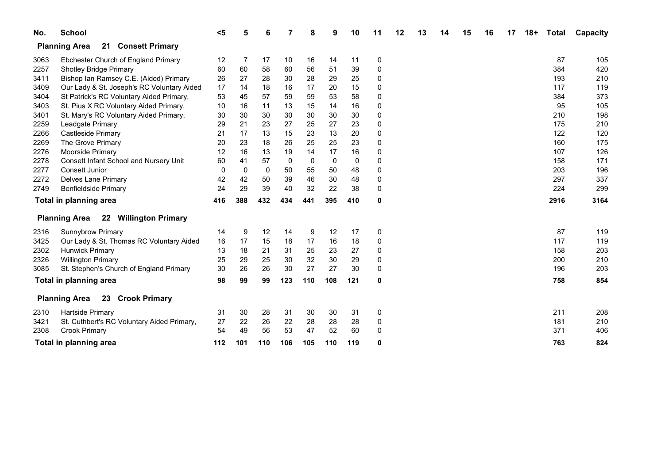| No.  | <b>School</b>                                 | $5$ |             | 6   |              |     |          | 10          | 11 | 12 | 13 | 15 | 16 | 17 | $18+$ | <b>Total</b> | Capacity |
|------|-----------------------------------------------|-----|-------------|-----|--------------|-----|----------|-------------|----|----|----|----|----|----|-------|--------------|----------|
|      | <b>Planning Area</b><br>21 Consett Primary    |     |             |     |              |     |          |             |    |    |    |    |    |    |       |              |          |
| 3063 | Ebchester Church of England Primary           | 12  | 7           | 17  | 10           | 16  | 14       | 11          | 0  |    |    |    |    |    |       | 87           | 105      |
| 2257 | <b>Shotley Bridge Primary</b>                 | 60  | 60          | 58  | 60           | 56  | 51       | 39          | 0  |    |    |    |    |    |       | 384          | 420      |
| 3411 | Bishop Ian Ramsey C.E. (Aided) Primary        | 26  | 27          | 28  | 30           | 28  | 29       | 25          | 0  |    |    |    |    |    |       | 193          | 210      |
| 3409 | Our Lady & St. Joseph's RC Voluntary Aided    | 17  | 14          | 18  | 16           | 17  | 20       | 15          | 0  |    |    |    |    |    |       | 117          | 119      |
| 3404 | St Patrick's RC Voluntary Aided Primary,      | 53  | 45          | 57  | 59           | 59  | 53       | 58          | 0  |    |    |    |    |    |       | 384          | 373      |
| 3403 | St. Pius X RC Voluntary Aided Primary,        | 10  | 16          | 11  | 13           | 15  | 14       | 16          | 0  |    |    |    |    |    |       | 95           | 105      |
| 3401 | St. Mary's RC Voluntary Aided Primary,        | 30  | 30          | 30  | 30           | 30  | 30       | 30          | 0  |    |    |    |    |    |       | 210          | 198      |
| 2259 | Leadgate Primary                              | 29  | 21          | 23  | 27           | 25  | 27       | 23          | 0  |    |    |    |    |    |       | 175          | 210      |
| 2266 | Castleside Primary                            | 21  | 17          | 13  | 15           | 23  | 13       | 20          | 0  |    |    |    |    |    |       | 122          | 120      |
| 2269 | The Grove Primary                             | 20  | 23          | 18  | 26           | 25  | 25       | 23          | 0  |    |    |    |    |    |       | 160          | 175      |
| 2276 | Moorside Primary                              | 12  | 16          | 13  | 19           | 14  | 17       | 16          | 0  |    |    |    |    |    |       | 107          | 126      |
| 2278 | Consett Infant School and Nursery Unit        | 60  | 41          | 57  | $\mathbf{0}$ | 0   | $\Omega$ | $\mathbf 0$ | 0  |    |    |    |    |    |       | 158          | 171      |
| 2277 | Consett Junior                                | 0   | $\mathbf 0$ | 0   | 50           | 55  | 50       | 48          | 0  |    |    |    |    |    |       | 203          | 196      |
| 2272 | <b>Delves Lane Primary</b>                    | 42  | 42          | 50  | 39           | 46  | 30       | 48          | 0  |    |    |    |    |    |       | 297          | 337      |
| 2749 | <b>Benfieldside Primary</b>                   | 24  | 29          | 39  | 40           | 32  | 22       | 38          | 0  |    |    |    |    |    |       | 224          | 299      |
|      | Total in planning area                        | 416 | 388         | 432 | 434          | 441 | 395      | 410         | 0  |    |    |    |    |    |       | 2916         | 3164     |
|      | 22 Willington Primary<br><b>Planning Area</b> |     |             |     |              |     |          |             |    |    |    |    |    |    |       |              |          |
| 2316 | <b>Sunnybrow Primary</b>                      | 14  | 9           | 12  | 14           | 9   | 12       | 17          | 0  |    |    |    |    |    |       | 87           | 119      |
| 3425 | Our Lady & St. Thomas RC Voluntary Aided      | 16  | 17          | 15  | 18           | 17  | 16       | 18          | 0  |    |    |    |    |    |       | 117          | 119      |
| 2302 | <b>Hunwick Primary</b>                        | 13  | 18          | 21  | 31           | 25  | 23       | 27          | 0  |    |    |    |    |    |       | 158          | 203      |
| 2326 | <b>Willington Primary</b>                     | 25  | 29          | 25  | 30           | 32  | 30       | 29          | 0  |    |    |    |    |    |       | 200          | 210      |
| 3085 | St. Stephen's Church of England Primary       | 30  | 26          | 26  | 30           | 27  | 27       | 30          | 0  |    |    |    |    |    |       | 196          | 203      |
|      | Total in planning area                        | 98  | 99          | 99  | 123          | 110 | 108      | 121         | 0  |    |    |    |    |    |       | 758          | 854      |
|      | 23 Crook Primary<br><b>Planning Area</b>      |     |             |     |              |     |          |             |    |    |    |    |    |    |       |              |          |
| 2310 | Hartside Primary                              | 31  | 30          | 28  | 31           | 30  | 30       | 31          | 0  |    |    |    |    |    |       | 211          | 208      |
| 3421 | St. Cuthbert's RC Voluntary Aided Primary,    | 27  | 22          | 26  | 22           | 28  | 28       | 28          | 0  |    |    |    |    |    |       | 181          | 210      |
| 2308 | Crook Primary                                 | 54  | 49          | 56  | 53           | 47  | 52       | 60          | 0  |    |    |    |    |    |       | 371          | 406      |
|      | Total in planning area                        | 112 | 101         | 110 | 106          | 105 | 110      | 119         | 0  |    |    |    |    |    |       | 763          | 824      |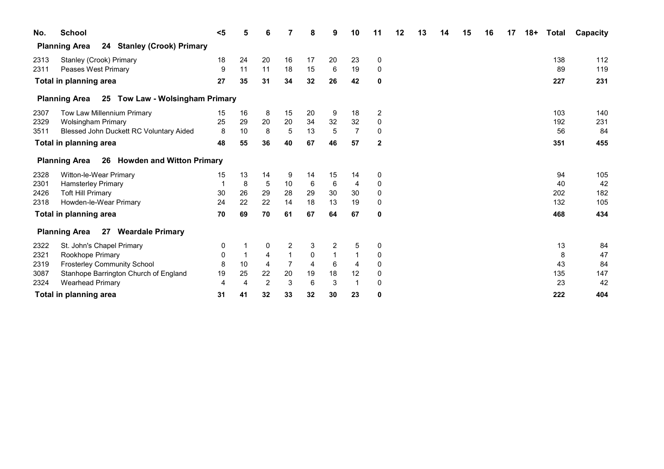| No.  | <b>School</b>                                                | $5$ | 5  | 6              |    | 8  | 9  | 10             | 11             | 12 | 13 | 14 | 15 | 16 | 17 | $18+$ | <b>Total</b> | Capacity |
|------|--------------------------------------------------------------|-----|----|----------------|----|----|----|----------------|----------------|----|----|----|----|----|----|-------|--------------|----------|
|      | <b>Stanley (Crook) Primary</b><br><b>Planning Area</b><br>24 |     |    |                |    |    |    |                |                |    |    |    |    |    |    |       |              |          |
| 2313 | Stanley (Crook) Primary                                      | 18  | 24 | 20             | 16 | 17 | 20 | 23             | 0              |    |    |    |    |    |    |       | 138          | 112      |
| 2311 | Peases West Primary                                          | 9   | 11 | 11             | 18 | 15 | 6  | 19             | 0              |    |    |    |    |    |    |       | 89           | 119      |
|      | Total in planning area                                       | 27  | 35 | 31             | 34 | 32 | 26 | 42             | 0              |    |    |    |    |    |    |       | 227          | 231      |
|      | 25 Tow Law - Wolsingham Primary<br><b>Planning Area</b>      |     |    |                |    |    |    |                |                |    |    |    |    |    |    |       |              |          |
| 2307 | Tow Law Millennium Primary                                   | 15  | 16 | 8              | 15 | 20 | 9  | 18             | $\overline{2}$ |    |    |    |    |    |    |       | 103          | 140      |
| 2329 | <b>Wolsingham Primary</b>                                    | 25  | 29 | 20             | 20 | 34 | 32 | 32             | 0              |    |    |    |    |    |    |       | 192          | 231      |
| 3511 | Blessed John Duckett RC Voluntary Aided                      | 8   | 10 | 8              | 5  | 13 | 5  | $\overline{7}$ | 0              |    |    |    |    |    |    |       | 56           | 84       |
|      | Total in planning area                                       | 48  | 55 | 36             | 40 | 67 | 46 | 57             | $\mathbf{2}$   |    |    |    |    |    |    |       | 351          | 455      |
|      | 26 Howden and Witton Primary<br><b>Planning Area</b>         |     |    |                |    |    |    |                |                |    |    |    |    |    |    |       |              |          |
| 2328 | Witton-le-Wear Primary                                       | 15  | 13 | 14             | 9  | 14 | 15 | 14             | 0              |    |    |    |    |    |    |       | 94           | 105      |
| 2301 | <b>Hamsterley Primary</b>                                    |     | 8  | 5              | 10 | 6  | 6  | 4              | 0              |    |    |    |    |    |    |       | 40           | 42       |
| 2426 | <b>Toft Hill Primary</b>                                     | 30  | 26 | 29             | 28 | 29 | 30 | 30             | 0              |    |    |    |    |    |    |       | 202          | 182      |
| 2318 | Howden-le-Wear Primary                                       | 24  | 22 | 22             | 14 | 18 | 13 | 19             | 0              |    |    |    |    |    |    |       | 132          | 105      |
|      | Total in planning area                                       | 70  | 69 | 70             | 61 | 67 | 64 | 67             | 0              |    |    |    |    |    |    |       | 468          | 434      |
|      | 27<br><b>Weardale Primary</b><br><b>Planning Area</b>        |     |    |                |    |    |    |                |                |    |    |    |    |    |    |       |              |          |
| 2322 | St. John's Chapel Primary                                    | 0   |    | 0              | 2  | 3  | 2  | 5              | 0              |    |    |    |    |    |    |       | 13           | 84       |
| 2321 | Rookhope Primary                                             | 0   |    | 4              |    | 0  |    |                | 0              |    |    |    |    |    |    |       | 8            | 47       |
| 2319 | <b>Frosterley Community School</b>                           | 8   | 10 | 4              |    | 4  | 6  | 4              | 0              |    |    |    |    |    |    |       | 43           | 84       |
| 3087 | Stanhope Barrington Church of England                        | 19  | 25 | 22             | 20 | 19 | 18 | 12             | 0              |    |    |    |    |    |    |       | 135          | 147      |
| 2324 | <b>Wearhead Primary</b>                                      | 4   | 4  | $\overline{2}$ | 3  | 6  | 3  |                | 0              |    |    |    |    |    |    |       | 23           | 42       |
|      | Total in planning area                                       | 31  | 41 | 32             | 33 | 32 | 30 | 23             | 0              |    |    |    |    |    |    |       | 222          | 404      |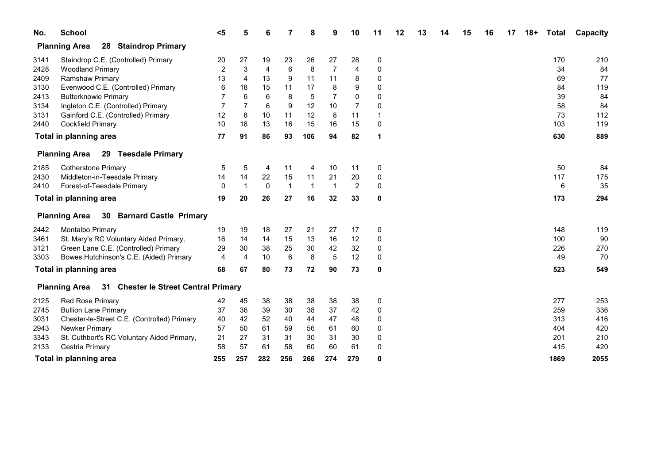| No.  | <b>School</b>                                      | $5$            |                | 6            |                | 8              | 9           | 10             | 11       | 12 | 13 | 14 | 15 | 16 | 17 | $18+$ | <b>Total</b> | Capacity |
|------|----------------------------------------------------|----------------|----------------|--------------|----------------|----------------|-------------|----------------|----------|----|----|----|----|----|----|-------|--------------|----------|
|      | <b>Planning Area</b><br>28 Staindrop Primary       |                |                |              |                |                |             |                |          |    |    |    |    |    |    |       |              |          |
| 3141 | Staindrop C.E. (Controlled) Primary                | 20             | 27             | 19           | 23             | 26             | 27          | 28             | 0        |    |    |    |    |    |    |       | 170          | 210      |
| 2428 | <b>Woodland Primary</b>                            | 2              | $\sqrt{3}$     | 4            | 6              | 8              | 7           | 4              | 0        |    |    |    |    |    |    |       | 34           | 84       |
| 2409 | <b>Ramshaw Primary</b>                             | 13             | $\overline{4}$ | 13           | 9              | 11             | 11          | 8              | 0        |    |    |    |    |    |    |       | 69           | 77       |
| 3130 | Evenwood C.E. (Controlled) Primary                 | 6              | 18             | 15           | 11             | 17             | 8           | 9              | 0        |    |    |    |    |    |    |       | 84           | 119      |
| 2413 | <b>Butterknowle Primary</b>                        | 7              | 6              | 6            | 8              | 5              | 7           | 0              | 0        |    |    |    |    |    |    |       | 39           | 84       |
| 3134 | Ingleton C.E. (Controlled) Primary                 | $\overline{7}$ | $\overline{7}$ | 6            | 9              | 12             | 10          | $\overline{7}$ | 0        |    |    |    |    |    |    |       | 58           | 84       |
| 3131 | Gainford C.E. (Controlled) Primary                 | 12             | 8              | 10           | 11             | 12             | 8           | 11             |          |    |    |    |    |    |    |       | 73           | 112      |
| 2440 | <b>Cockfield Primary</b>                           | 10             | 18             | 13           | 16             | 15             | 16          | 15             | 0        |    |    |    |    |    |    |       | 103          | 119      |
|      | Total in planning area                             | 77             | 91             | 86           | 93             | 106            | 94          | 82             | 1        |    |    |    |    |    |    |       | 630          | 889      |
|      | Planning Area 29 Teesdale Primary                  |                |                |              |                |                |             |                |          |    |    |    |    |    |    |       |              |          |
| 2185 | <b>Cotherstone Primary</b>                         | 5              | 5              | 4            | 11             | $\overline{4}$ | 10          | 11             | 0        |    |    |    |    |    |    |       | 50           | 84       |
| 2430 | Middleton-in-Teesdale Primary                      | 14             | 14             | 22           | 15             | 11             | 21          | 20             | 0        |    |    |    |    |    |    |       | 117          | 175      |
| 2410 | Forest-of-Teesdale Primary                         | $\mathbf{0}$   | $\mathbf 1$    | $\mathbf{0}$ | $\overline{1}$ | $\overline{1}$ | $\mathbf 1$ | $\overline{c}$ | 0        |    |    |    |    |    |    |       | 6            | 35       |
|      | Total in planning area                             | 19             | 20             | 26           | 27             | 16             | 32          | 33             | 0        |    |    |    |    |    |    |       | 173          | 294      |
|      | <b>Planning Area</b> 30 Barnard Castle Primary     |                |                |              |                |                |             |                |          |    |    |    |    |    |    |       |              |          |
| 2442 | Montalbo Primary                                   | 19             | 19             | 18           | 27             | 21             | 27          | 17             | 0        |    |    |    |    |    |    |       | 148          | 119      |
| 3461 | St. Mary's RC Voluntary Aided Primary,             | 16             | 14             | 14           | 15             | 13             | 16          | 12             | 0        |    |    |    |    |    |    |       | 100          | 90       |
| 3121 | Green Lane C.E. (Controlled) Primary               | 29             | 30             | 38           | 25             | 30             | 42          | 32             | 0        |    |    |    |    |    |    |       | 226          | 270      |
| 3303 | Bowes Hutchinson's C.E. (Aided) Primary            | $\overline{4}$ | $\overline{4}$ | 10           | 6              | 8              | 5           | 12             | 0        |    |    |    |    |    |    |       | 49           | 70       |
|      | Total in planning area                             | 68             | 67             | 80           | 73             | 72             | 90          | 73             | 0        |    |    |    |    |    |    |       | 523          | 549      |
|      | Planning Area 31 Chester le Street Central Primary |                |                |              |                |                |             |                |          |    |    |    |    |    |    |       |              |          |
| 2125 | <b>Red Rose Primary</b>                            | 42             | 45             | 38           | 38             | 38             | 38          | 38             | 0        |    |    |    |    |    |    |       | 277          | 253      |
| 2745 | <b>Bullion Lane Primary</b>                        | 37             | 36             | 39           | 30             | 38             | 37          | 42             | 0        |    |    |    |    |    |    |       | 259          | 336      |
| 3031 | Chester-le-Street C.E. (Controlled) Primary        | 40             | 42             | 52           | 40             | 44             | 47          | 48             | 0        |    |    |    |    |    |    |       | 313          | 416      |
| 2943 | Newker Primary                                     | 57             | 50             | 61           | 59             | 56             | 61          | 60             | 0        |    |    |    |    |    |    |       | 404          | 420      |
| 3343 | St. Cuthbert's RC Voluntary Aided Primary,         | 21             | 27             | 31           | 31             | 30             | 31          | 30             | 0        |    |    |    |    |    |    |       | 201          | 210      |
| 2133 | Cestria Primary                                    | 58             | 57             | 61           | 58             | 60             | 60          | 61             | $\Omega$ |    |    |    |    |    |    |       | 415          | 420      |
|      | Total in planning area                             | 255            | 257            | 282          | 256            | 266            | 274         | 279            | O        |    |    |    |    |    |    |       | 1869         | 2055     |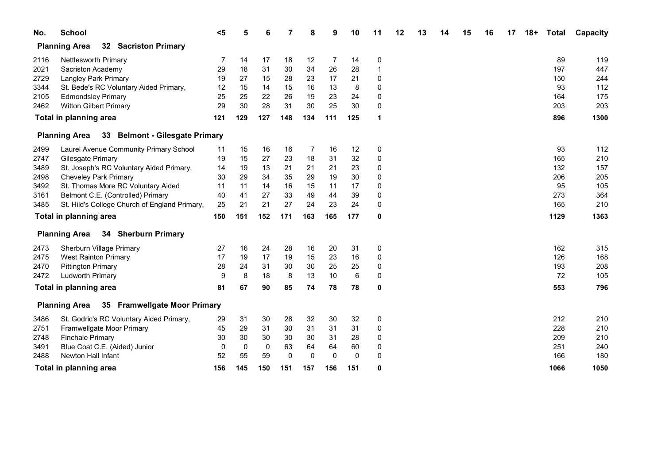| No.  | <b>School</b>                                          | $5$ | 5   | 6           |             | 8           | 9   | 10          | 11 | 12 | 13 | 14 | 15 | 16 | 17 | $18+$ | <b>Total</b> | Capacity |
|------|--------------------------------------------------------|-----|-----|-------------|-------------|-------------|-----|-------------|----|----|----|----|----|----|----|-------|--------------|----------|
|      | 32 Sacriston Primary<br><b>Planning Area</b>           |     |     |             |             |             |     |             |    |    |    |    |    |    |    |       |              |          |
| 2116 | <b>Nettlesworth Primary</b>                            | 7   | 14  | 17          | 18          | 12          | 7   | 14          | 0  |    |    |    |    |    |    |       | 89           | 119      |
| 2021 | Sacriston Academy                                      | 29  | 18  | 31          | 30          | 34          | 26  | 28          | 1  |    |    |    |    |    |    |       | 197          | 447      |
| 2729 | Langley Park Primary                                   | 19  | 27  | 15          | 28          | 23          | 17  | 21          | 0  |    |    |    |    |    |    |       | 150          | 244      |
| 3344 | St. Bede's RC Voluntary Aided Primary,                 | 12  | 15  | 14          | 15          | 16          | 13  | 8           | 0  |    |    |    |    |    |    |       | 93           | 112      |
| 2105 | <b>Edmondsley Primary</b>                              | 25  | 25  | 22          | 26          | 19          | 23  | 24          | 0  |    |    |    |    |    |    |       | 164          | 175      |
| 2462 | <b>Witton Gilbert Primary</b>                          | 29  | 30  | 28          | 31          | 30          | 25  | 30          | 0  |    |    |    |    |    |    |       | 203          | 203      |
|      | Total in planning area                                 | 121 | 129 | 127         | 148         | 134         | 111 | 125         | 1  |    |    |    |    |    |    |       | 896          | 1300     |
|      | 33 Belmont - Gilesgate Primary<br><b>Planning Area</b> |     |     |             |             |             |     |             |    |    |    |    |    |    |    |       |              |          |
| 2499 | Laurel Avenue Community Primary School                 | 11  | 15  | 16          | 16          | 7           | 16  | 12          | 0  |    |    |    |    |    |    |       | 93           | 112      |
| 2747 | Gilesgate Primary                                      | 19  | 15  | 27          | 23          | 18          | 31  | 32          | 0  |    |    |    |    |    |    |       | 165          | 210      |
| 3489 | St. Joseph's RC Voluntary Aided Primary,               | 14  | 19  | 13          | 21          | 21          | 21  | 23          | 0  |    |    |    |    |    |    |       | 132          | 157      |
| 2498 | <b>Cheveley Park Primary</b>                           | 30  | 29  | 34          | 35          | 29          | 19  | $30\,$      | 0  |    |    |    |    |    |    |       | 206          | 205      |
| 3492 | St. Thomas More RC Voluntary Aided                     | 11  | 11  | 14          | 16          | 15          | 11  | 17          | 0  |    |    |    |    |    |    |       | 95           | 105      |
| 3161 | Belmont C.E. (Controlled) Primary                      | 40  | 41  | 27          | 33          | 49          | 44  | 39          | 0  |    |    |    |    |    |    |       | 273          | 364      |
| 3485 | St. Hild's College Church of England Primary,          | 25  | 21  | 21          | 27          | 24          | 23  | 24          | 0  |    |    |    |    |    |    |       | 165          | 210      |
|      | Total in planning area                                 | 150 | 151 | 152         | 171         | 163         | 165 | 177         | 0  |    |    |    |    |    |    |       | 1129         | 1363     |
|      | 34 Sherburn Primary<br><b>Planning Area</b>            |     |     |             |             |             |     |             |    |    |    |    |    |    |    |       |              |          |
| 2473 | Sherburn Village Primary                               | 27  | 16  | 24          | 28          | 16          | 20  | 31          | 0  |    |    |    |    |    |    |       | 162          | 315      |
| 2475 | <b>West Rainton Primary</b>                            | 17  | 19  | 17          | 19          | 15          | 23  | 16          | 0  |    |    |    |    |    |    |       | 126          | 168      |
| 2470 | <b>Pittington Primary</b>                              | 28  | 24  | 31          | 30          | 30          | 25  | 25          | 0  |    |    |    |    |    |    |       | 193          | 208      |
| 2472 | <b>Ludworth Primary</b>                                | 9   | 8   | 18          | 8           | 13          | 10  | $\,6\,$     | 0  |    |    |    |    |    |    |       | 72           | 105      |
|      | Total in planning area                                 | 81  | 67  | 90          | 85          | 74          | 78  | 78          | 0  |    |    |    |    |    |    |       | 553          | 796      |
|      | 35 Framwellgate Moor Primary<br><b>Planning Area</b>   |     |     |             |             |             |     |             |    |    |    |    |    |    |    |       |              |          |
| 3486 | St. Godric's RC Voluntary Aided Primary,               | 29  | 31  | 30          | 28          | 32          | 30  | 32          | 0  |    |    |    |    |    |    |       | 212          | 210      |
| 2751 | Framwellgate Moor Primary                              | 45  | 29  | 31          | 30          | 31          | 31  | 31          | 0  |    |    |    |    |    |    |       | 228          | 210      |
| 2748 | <b>Finchale Primary</b>                                | 30  | 30  | 30          | 30          | 30          | 31  | 28          | 0  |    |    |    |    |    |    |       | 209          | 210      |
| 3491 | Blue Coat C.E. (Aided) Junior                          | 0   | 0   | $\mathbf 0$ | 63          | 64          | 64  | 60          | 0  |    |    |    |    |    |    |       | 251          | 240      |
| 2488 | Newton Hall Infant                                     | 52  | 55  | 59          | $\mathbf 0$ | $\mathbf 0$ | 0   | $\mathbf 0$ | 0  |    |    |    |    |    |    |       | 166          | 180      |
|      | <b>Total in planning area</b>                          | 156 | 145 | 150         | 151         | 157         | 156 | 151         | 0  |    |    |    |    |    |    |       | 1066         | 1050     |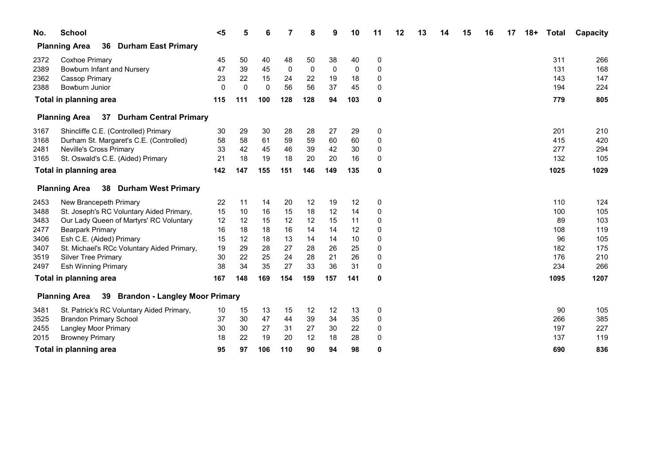| No.  | <b>School</b>                                                       | $5$ | 5           | 6   |     | 8           | 9           | 10          | 11       | 12 | 13 | 14 | 15 | 16 | 17 | $18+$ | <b>Total</b> | Capacity |
|------|---------------------------------------------------------------------|-----|-------------|-----|-----|-------------|-------------|-------------|----------|----|----|----|----|----|----|-------|--------------|----------|
|      | <b>Planning Area</b><br>36<br><b>Durham East Primary</b>            |     |             |     |     |             |             |             |          |    |    |    |    |    |    |       |              |          |
| 2372 | Coxhoe Primary                                                      | 45  | 50          | 40  | 48  | 50          | 38          | 40          | 0        |    |    |    |    |    |    |       | 311          | 266      |
| 2389 | Bowburn Infant and Nursery                                          | 47  | 39          | 45  | 0   | $\mathbf 0$ | $\mathbf 0$ | $\mathbf 0$ | 0        |    |    |    |    |    |    |       | 131          | 168      |
| 2362 | <b>Cassop Primary</b>                                               | 23  | 22          | 15  | 24  | 22          | 19          | 18          | 0        |    |    |    |    |    |    |       | 143          | 147      |
| 2388 | Bowburn Junior                                                      | 0   | $\mathbf 0$ | 0   | 56  | 56          | 37          | 45          | 0        |    |    |    |    |    |    |       | 194          | 224      |
|      | <b>Total in planning area</b>                                       | 115 | 111         | 100 | 128 | 128         | 94          | 103         | 0        |    |    |    |    |    |    |       | 779          | 805      |
|      | <b>Durham Central Primary</b><br><b>Planning Area</b><br>37         |     |             |     |     |             |             |             |          |    |    |    |    |    |    |       |              |          |
| 3167 | Shincliffe C.E. (Controlled) Primary                                | 30  | 29          | 30  | 28  | 28          | 27          | 29          | 0        |    |    |    |    |    |    |       | 201          | 210      |
| 3168 | Durham St. Margaret's C.E. (Controlled)                             | 58  | 58          | 61  | 59  | 59          | 60          | 60          | 0        |    |    |    |    |    |    |       | 415          | 420      |
| 2481 | <b>Neville's Cross Primary</b>                                      | 33  | 42          | 45  | 46  | 39          | 42          | 30          | 0        |    |    |    |    |    |    |       | 277          | 294      |
| 3165 | St. Oswald's C.E. (Aided) Primary                                   | 21  | 18          | 19  | 18  | 20          | 20          | 16          | 0        |    |    |    |    |    |    |       | 132          | 105      |
|      | Total in planning area                                              | 142 | 147         | 155 | 151 | 146         | 149         | 135         | 0        |    |    |    |    |    |    |       | 1025         | 1029     |
|      | 38<br><b>Durham West Primary</b><br><b>Planning Area</b>            |     |             |     |     |             |             |             |          |    |    |    |    |    |    |       |              |          |
| 2453 | New Brancepeth Primary                                              | 22  | 11          | 14  | 20  | 12          | 19          | 12          | 0        |    |    |    |    |    |    |       | 110          | 124      |
| 3488 | St. Joseph's RC Voluntary Aided Primary,                            | 15  | 10          | 16  | 15  | 18          | 12          | 14          | 0        |    |    |    |    |    |    |       | 100          | 105      |
| 3483 | Our Lady Queen of Martyrs' RC Voluntary                             | 12  | 12          | 15  | 12  | 12          | 15          | 11          | 0        |    |    |    |    |    |    |       | 89           | 103      |
| 2477 | <b>Bearpark Primary</b>                                             | 16  | 18          | 18  | 16  | 14          | 14          | 12          | 0        |    |    |    |    |    |    |       | 108          | 119      |
| 3406 | Esh C.E. (Aided) Primary                                            | 15  | 12          | 18  | 13  | 14          | 14          | 10          | 0        |    |    |    |    |    |    |       | 96           | 105      |
| 3407 | St. Michael's RCc Voluntary Aided Primary,                          | 19  | 29          | 28  | 27  | 28          | 26          | 25          | 0        |    |    |    |    |    |    |       | 182          | 175      |
| 3519 | <b>Silver Tree Primary</b>                                          | 30  | 22          | 25  | 24  | 28          | 21          | 26          | 0        |    |    |    |    |    |    |       | 176          | 210      |
| 2497 | <b>Esh Winning Primary</b>                                          | 38  | 34          | 35  | 27  | 33          | 36          | 31          | $\Omega$ |    |    |    |    |    |    |       | 234          | 266      |
|      | <b>Total in planning area</b>                                       | 167 | 148         | 169 | 154 | 159         | 157         | 141         | 0        |    |    |    |    |    |    |       | 1095         | 1207     |
|      | <b>Brandon - Langley Moor Primary</b><br><b>Planning Area</b><br>39 |     |             |     |     |             |             |             |          |    |    |    |    |    |    |       |              |          |
| 3481 | St. Patrick's RC Voluntary Aided Primary,                           | 10  | 15          | 13  | 15  | 12          | 12          | 13          | 0        |    |    |    |    |    |    |       | 90           | 105      |
| 3525 | <b>Brandon Primary School</b>                                       | 37  | 30          | 47  | 44  | 39          | 34          | 35          | 0        |    |    |    |    |    |    |       | 266          | 385      |
| 2455 | <b>Langley Moor Primary</b>                                         | 30  | 30          | 27  | 31  | 27          | 30          | 22          | 0        |    |    |    |    |    |    |       | 197          | 227      |
| 2015 | <b>Browney Primary</b>                                              | 18  | 22          | 19  | 20  | 12          | 18          | 28          | $\Omega$ |    |    |    |    |    |    |       | 137          | 119      |
|      | Total in planning area                                              | 95  | 97          | 106 | 110 | 90          | 94          | 98          | 0        |    |    |    |    |    |    |       | 690          | 836      |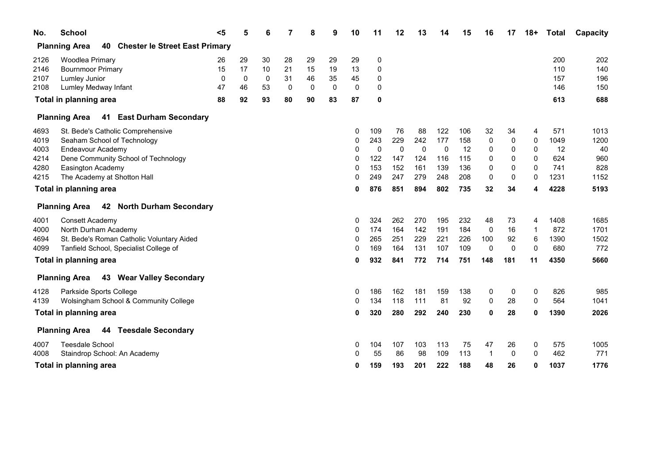| No.          | <b>School</b>                                             | $5$      | 5        | 6        |          | 8           | 9            | 10       | 11          | 12          | 13          | 14  | 15  | 16          | 17          | $18+$          | <b>Total</b> | Capacity   |
|--------------|-----------------------------------------------------------|----------|----------|----------|----------|-------------|--------------|----------|-------------|-------------|-------------|-----|-----|-------------|-------------|----------------|--------------|------------|
|              | <b>Planning Area</b><br>40 Chester le Street East Primary |          |          |          |          |             |              |          |             |             |             |     |     |             |             |                |              |            |
| 2126<br>2146 | Woodlea Primary<br><b>Bournmoor Primary</b>               | 26<br>15 | 29<br>17 | 30<br>10 | 28<br>21 | 29<br>15    | 29<br>19     | 29<br>13 | 0<br>0      |             |             |     |     |             |             |                | 200<br>110   | 202<br>140 |
| 2107         | Lumley Junior                                             | 0        | 0        | 0        | 31       | 46          | 35           | 45       | 0           |             |             |     |     |             |             |                | 157          | 196        |
| 2108         | Lumley Medway Infant                                      | 47       | 46       | 53       | $\Omega$ | $\mathbf 0$ | $\mathbf{0}$ | 0        | 0           |             |             |     |     |             |             |                | 146          | 150        |
|              | Total in planning area                                    | 88       | 92       | 93       | 80       | 90          | 83           | 87       | 0           |             |             |     |     |             |             |                | 613          | 688        |
|              | 41 East Durham Secondary<br><b>Planning Area</b>          |          |          |          |          |             |              |          |             |             |             |     |     |             |             |                |              |            |
| 4693         | St. Bede's Catholic Comprehensive                         |          |          |          |          |             |              | 0        | 109         | 76          | 88          | 122 | 106 | 32          | 34          | 4              | 571          | 1013       |
| 4019         | Seaham School of Technology                               |          |          |          |          |             |              | 0        | 243         | 229         | 242         | 177 | 158 | 0           | 0           | $\mathbf{0}$   | 1049         | 1200       |
| 4003         | Endeavour Academy                                         |          |          |          |          |             |              | 0        | $\mathbf 0$ | $\mathbf 0$ | $\mathbf 0$ | 0   | 12  | 0           | 0           | $\mathbf{0}$   | 12           | 40         |
| 4214         | Dene Community School of Technology                       |          |          |          |          |             |              | 0        | 122         | 147         | 124         | 116 | 115 | 0           | 0           | $\mathbf{0}$   | 624          | 960        |
| 4280         | Easington Academy                                         |          |          |          |          |             |              | 0        | 153         | 152         | 161         | 139 | 136 | 0           | 0           | $\mathbf{0}$   | 741          | 828        |
| 4215         | The Academy at Shotton Hall                               |          |          |          |          |             |              | 0        | 249         | 247         | 279         | 248 | 208 | 0           | 0           | 0              | 1231         | 1152       |
|              | Total in planning area                                    |          |          |          |          |             |              | 0        | 876         | 851         | 894         | 802 | 735 | 32          | 34          | 4              | 4228         | 5193       |
|              | 42 North Durham Secondary<br><b>Planning Area</b>         |          |          |          |          |             |              |          |             |             |             |     |     |             |             |                |              |            |
| 4001         | Consett Academy                                           |          |          |          |          |             |              | 0        | 324         | 262         | 270         | 195 | 232 | 48          | 73          | 4              | 1408         | 1685       |
| 4000         | North Durham Academy                                      |          |          |          |          |             |              | 0        | 174         | 164         | 142         | 191 | 184 | 0           | 16          | $\overline{1}$ | 872          | 1701       |
| 4694         | St. Bede's Roman Catholic Voluntary Aided                 |          |          |          |          |             |              | 0        | 265         | 251         | 229         | 221 | 226 | 100         | 92          | 6              | 1390         | 1502       |
| 4099         | Tanfield School, Specialist College of                    |          |          |          |          |             |              | 0        | 169         | 164         | 131         | 107 | 109 | 0           | 0           | $\Omega$       | 680          | 772        |
|              | Total in planning area                                    |          |          |          |          |             |              | 0        | 932         | 841         | 772         | 714 | 751 | 148         | 181         | 11             | 4350         | 5660       |
|              | <b>Planning Area</b><br>43 Wear Valley Secondary          |          |          |          |          |             |              |          |             |             |             |     |     |             |             |                |              |            |
| 4128         | Parkside Sports College                                   |          |          |          |          |             |              | 0        | 186         | 162         | 181         | 159 | 138 | 0           | 0           | 0              | 826          | 985        |
| 4139         | Wolsingham School & Community College                     |          |          |          |          |             |              | 0        | 134         | 118         | 111         | 81  | 92  | 0           | 28          | $\mathbf 0$    | 564          | 1041       |
|              | Total in planning area                                    |          |          |          |          |             |              | 0        | 320         | 280         | 292         | 240 | 230 | 0           | 28          | 0              | 1390         | 2026       |
|              | <b>Teesdale Secondary</b><br><b>Planning Area</b><br>44   |          |          |          |          |             |              |          |             |             |             |     |     |             |             |                |              |            |
| 4007         | <b>Teesdale School</b>                                    |          |          |          |          |             |              | 0        | 104         | 107         | 103         | 113 | 75  | 47          | 26          | 0              | 575          | 1005       |
| 4008         | Staindrop School: An Academy                              |          |          |          |          |             |              | 0        | 55          | 86          | 98          | 109 | 113 | $\mathbf 1$ | $\mathbf 0$ | $\Omega$       | 462          | 771        |
|              | Total in planning area                                    |          |          |          |          |             |              | 0        | 159         | 193         | 201         | 222 | 188 | 48          | 26          | 0              | 1037         | 1776       |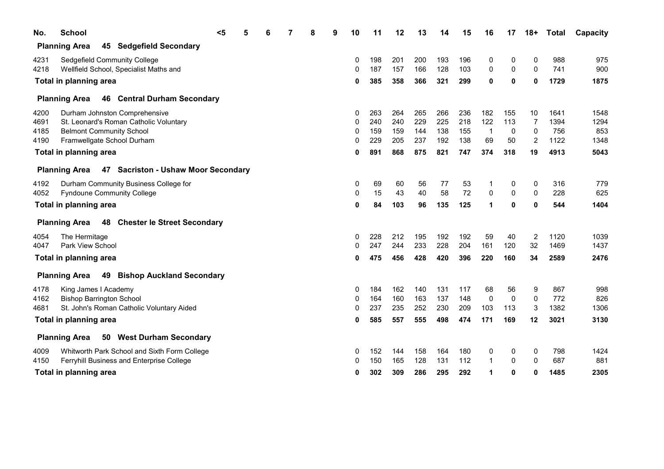| No.  | <b>School</b>                                                  | $5$ | 6 |  | 9 | 10 | 11  | 12  | 13  | 14  | 15  | 16          | 17          | $18+$        | <b>Total</b> | Capacity |
|------|----------------------------------------------------------------|-----|---|--|---|----|-----|-----|-----|-----|-----|-------------|-------------|--------------|--------------|----------|
|      | <b>Planning Area</b><br>45 Sedgefield Secondary                |     |   |  |   |    |     |     |     |     |     |             |             |              |              |          |
| 4231 | Sedgefield Community College                                   |     |   |  |   | 0  | 198 | 201 | 200 | 193 | 196 | 0           | 0           | 0            | 988          | 975      |
| 4218 | Wellfield School, Specialist Maths and                         |     |   |  |   | 0  | 187 | 157 | 166 | 128 | 103 | 0           | 0           | $\Omega$     | 741          | 900      |
|      | Total in planning area                                         |     |   |  |   | 0  | 385 | 358 | 366 | 321 | 299 | 0           | $\mathbf 0$ | 0            | 1729         | 1875     |
|      | 46 Central Durham Secondary<br><b>Planning Area</b>            |     |   |  |   |    |     |     |     |     |     |             |             |              |              |          |
| 4200 | Durham Johnston Comprehensive                                  |     |   |  |   | 0  | 263 | 264 | 265 | 266 | 236 | 182         | 155         | 10           | 1641         | 1548     |
| 4691 | St. Leonard's Roman Catholic Voluntary                         |     |   |  |   | 0  | 240 | 240 | 229 | 225 | 218 | 122         | 113         | 7            | 1394         | 1294     |
| 4185 | <b>Belmont Community School</b>                                |     |   |  |   | 0  | 159 | 159 | 144 | 138 | 155 | -1          | 0           | 0            | 756          | 853      |
| 4190 | Framwellgate School Durham                                     |     |   |  |   | 0  | 229 | 205 | 237 | 192 | 138 | 69          | 50          | 2            | 1122         | 1348     |
|      | Total in planning area                                         |     |   |  |   | 0  | 891 | 868 | 875 | 821 | 747 | 374         | 318         | 19           | 4913         | 5043     |
|      | Planning Area 47 Sacriston - Ushaw Moor Secondary              |     |   |  |   |    |     |     |     |     |     |             |             |              |              |          |
| 4192 | Durham Community Business College for                          |     |   |  |   | 0  | 69  | 60  | 56  | 77  | 53  | 1           | 0           | 0            | 316          | 779      |
| 4052 | <b>Fyndoune Community College</b>                              |     |   |  |   | 0  | 15  | 43  | 40  | 58  | 72  | $\mathbf 0$ | $\mathbf 0$ | $\Omega$     | 228          | 625      |
|      | Total in planning area                                         |     |   |  |   | O  | 84  | 103 | 96  | 135 | 125 | 1           | $\mathbf 0$ | 0            | 544          | 1404     |
|      | 48 Chester le Street Secondary<br><b>Planning Area</b>         |     |   |  |   |    |     |     |     |     |     |             |             |              |              |          |
| 4054 | The Hermitage                                                  |     |   |  |   | 0  | 228 | 212 | 195 | 192 | 192 | 59          | 40          | 2            | 1120         | 1039     |
| 4047 | Park View School                                               |     |   |  |   | 0  | 247 | 244 | 233 | 228 | 204 | 161         | 120         | 32           | 1469         | 1437     |
|      | Total in planning area                                         |     |   |  |   | 0  | 475 | 456 | 428 | 420 | 396 | 220         | 160         | 34           | 2589         | 2476     |
|      | 49<br><b>Planning Area</b><br><b>Bishop Auckland Secondary</b> |     |   |  |   |    |     |     |     |     |     |             |             |              |              |          |
| 4178 | King James I Academy                                           |     |   |  |   | 0  | 184 | 162 | 140 | 131 | 117 | 68          | 56          | 9            | 867          | 998      |
| 4162 | <b>Bishop Barrington School</b>                                |     |   |  |   | 0  | 164 | 160 | 163 | 137 | 148 | $\Omega$    | $\mathbf 0$ | $\mathbf 0$  | 772          | 826      |
| 4681 | St. John's Roman Catholic Voluntary Aided                      |     |   |  |   | 0  | 237 | 235 | 252 | 230 | 209 | 103         | 113         | 3            | 1382         | 1306     |
|      | Total in planning area                                         |     |   |  |   | 0  | 585 | 557 | 555 | 498 | 474 | 171         | 169         | 12           | 3021         | 3130     |
|      | 50 West Durham Secondary<br><b>Planning Area</b>               |     |   |  |   |    |     |     |     |     |     |             |             |              |              |          |
| 4009 | Whitworth Park School and Sixth Form College                   |     |   |  |   | 0  | 152 | 144 | 158 | 164 | 180 | 0           | 0           | 0            | 798          | 1424     |
| 4150 | Ferryhill Business and Enterprise College                      |     |   |  |   | 0  | 150 | 165 | 128 | 131 | 112 |             | $\mathbf 0$ | $\mathbf{0}$ | 687          | 881      |
|      | Total in planning area                                         |     |   |  |   | 0  | 302 | 309 | 286 | 295 | 292 | 1           | 0           | 0            | 1485         | 2305     |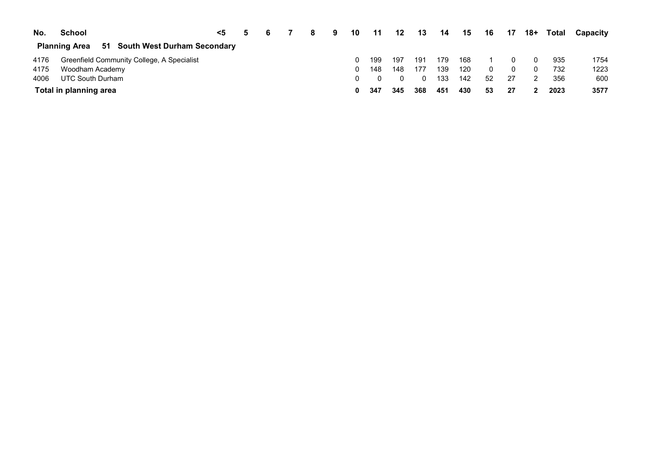| No.  | <b>School</b>                                          | $<$ 5 | -5 |  | 9 | 10 | 11  | 12  | 13  | 14  | 15  | 16 | - 17 | 18+ | Total | Capacity |
|------|--------------------------------------------------------|-------|----|--|---|----|-----|-----|-----|-----|-----|----|------|-----|-------|----------|
|      | 51 South West Durham Secondary<br><b>Planning Area</b> |       |    |  |   |    |     |     |     |     |     |    |      |     |       |          |
| 4176 | Greenfield Community College, A Specialist             |       |    |  |   |    | 199 | 197 | 191 | 179 | 168 |    |      |     | 935   | 1754     |
| 4175 | Woodham Academy                                        |       |    |  |   | 0. | 148 | 148 | 177 | 139 | 120 |    |      |     | 732   | 1223     |
| 4006 | UTC South Durham                                       |       |    |  |   |    |     |     |     | 133 | 142 | 52 | 27   |     | 356   | 600      |
|      | Total in planning area                                 |       |    |  |   | 0  | 347 | 345 | 368 | 451 | 430 | 53 |      |     | 2023  | 3577     |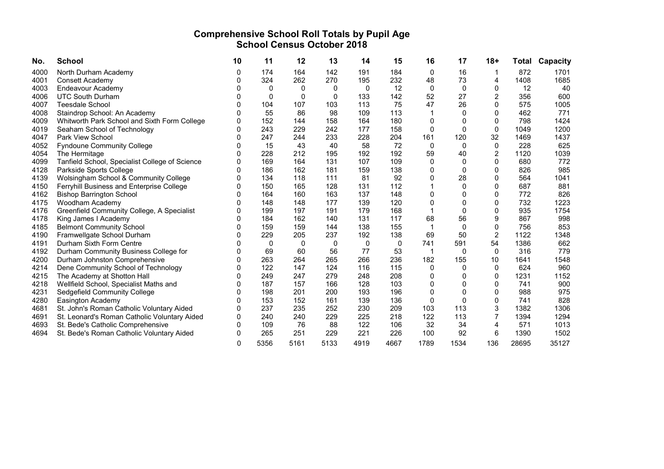# Comprehensive School Roll Totals by Pupil Age School Census October 2018

| No.  | <b>School</b>                                  | 10 | 11       | 12   | 13           | 14   | 15   | 16       | 17          | $18+$          | Total | Capacity |
|------|------------------------------------------------|----|----------|------|--------------|------|------|----------|-------------|----------------|-------|----------|
| 4000 | North Durham Academy                           | 0  | 174      | 164  | 142          | 191  | 184  | 0        | 16          |                | 872   | 1701     |
| 4001 | Consett Academy                                |    | 324      | 262  | 270          | 195  | 232  | 48       | 73          | 4              | 1408  | 1685     |
| 4003 | Endeavour Academy                              |    | 0        | 0    | 0            | 0    | 12   | 0        | 0           | $\Omega$       | 12    | 40       |
| 4006 | <b>UTC South Durham</b>                        |    | $\Omega$ | 0    | $\mathbf{0}$ | 133  | 142  | 52       | 27          | 2              | 356   | 600      |
| 4007 | <b>Teesdale School</b>                         |    | 104      | 107  | 103          | 113  | 75   | 47       | 26          | 0              | 575   | 1005     |
| 4008 | Staindrop School: An Academy                   |    | 55       | 86   | 98           | 109  | 113  |          | 0           | 0              | 462   | 771      |
| 4009 | Whitworth Park School and Sixth Form College   |    | 152      | 144  | 158          | 164  | 180  | 0        | 0           | 0              | 798   | 1424     |
| 4019 | Seaham School of Technology                    |    | 243      | 229  | 242          | 177  | 158  | 0        | $\mathbf 0$ | 0              | 1049  | 1200     |
| 4047 | <b>Park View School</b>                        |    | 247      | 244  | 233          | 228  | 204  | 161      | 120         | 32             | 1469  | 1437     |
| 4052 | <b>Fyndoune Community College</b>              |    | 15       | 43   | 40           | 58   | 72   | 0        | 0           | 0              | 228   | 625      |
| 4054 | The Hermitage                                  |    | 228      | 212  | 195          | 192  | 192  | 59       | 40          | 2              | 1120  | 1039     |
| 4099 | Tanfield School, Specialist College of Science |    | 169      | 164  | 131          | 107  | 109  | $\Omega$ | 0           | 0              | 680   | 772      |
| 4128 | Parkside Sports College                        |    | 186      | 162  | 181          | 159  | 138  | 0        | $\Omega$    | $\Omega$       | 826   | 985      |
| 4139 | Wolsingham School & Community College          | n  | 134      | 118  | 111          | 81   | 92   | 0        | 28          | $\Omega$       | 564   | 1041     |
| 4150 | Ferryhill Business and Enterprise College      | O  | 150      | 165  | 128          | 131  | 112  |          | 0           | 0              | 687   | 881      |
| 4162 | <b>Bishop Barrington School</b>                |    | 164      | 160  | 163          | 137  | 148  | 0        | 0           | 0              | 772   | 826      |
| 4175 | Woodham Academy                                |    | 148      | 148  | 177          | 139  | 120  | 0        | 0           | 0              | 732   | 1223     |
| 4176 | Greenfield Community College, A Specialist     |    | 199      | 197  | 191          | 179  | 168  | 1        | 0           | 0              | 935   | 1754     |
| 4178 | King James I Academy                           |    | 184      | 162  | 140          | 131  | 117  | 68       | 56          | 9              | 867   | 998      |
| 4185 | <b>Belmont Community School</b>                |    | 159      | 159  | 144          | 138  | 155  |          | 0           | 0              | 756   | 853      |
| 4190 | Framwellgate School Durham                     |    | 229      | 205  | 237          | 192  | 138  | 69       | 50          | $\overline{c}$ | 1122  | 1348     |
| 4191 | Durham Sixth Form Centre                       |    | 0        | 0    | $\Omega$     | 0    | 0    | 741      | 591         | 54             | 1386  | 662      |
| 4192 | Durham Community Business College for          |    | 69       | 60   | 56           | 77   | 53   | 1        | 0           | 0              | 316   | 779      |
| 4200 | Durham Johnston Comprehensive                  | O. | 263      | 264  | 265          | 266  | 236  | 182      | 155         | 10             | 1641  | 1548     |
| 4214 | Dene Community School of Technology            | O. | 122      | 147  | 124          | 116  | 115  | 0        | 0           | 0              | 624   | 960      |
| 4215 | The Academy at Shotton Hall                    | n  | 249      | 247  | 279          | 248  | 208  | $\Omega$ | 0           | $\Omega$       | 1231  | 1152     |
| 4218 | Wellfield School, Specialist Maths and         |    | 187      | 157  | 166          | 128  | 103  | 0        | 0           | 0              | 741   | 900      |
| 4231 | Sedgefield Community College                   |    | 198      | 201  | 200          | 193  | 196  | 0        | 0           | 0              | 988   | 975      |
| 4280 | Easington Academy                              |    | 153      | 152  | 161          | 139  | 136  | $\Omega$ | $\Omega$    | 0              | 741   | 828      |
| 4681 | St. John's Roman Catholic Voluntary Aided      | n  | 237      | 235  | 252          | 230  | 209  | 103      | 113         | 3              | 1382  | 1306     |
| 4691 | St. Leonard's Roman Catholic Voluntary Aided   | ი  | 240      | 240  | 229          | 225  | 218  | 122      | 113         |                | 1394  | 1294     |
| 4693 | St. Bede's Catholic Comprehensive              | 0  | 109      | 76   | 88           | 122  | 106  | 32       | 34          | 4              | 571   | 1013     |
| 4694 | St. Bede's Roman Catholic Voluntary Aided      | 0  | 265      | 251  | 229          | 221  | 226  | 100      | 92          | 6              | 1390  | 1502     |
|      |                                                | 0  | 5356     | 5161 | 5133         | 4919 | 4667 | 1789     | 1534        | 136            | 28695 | 35127    |